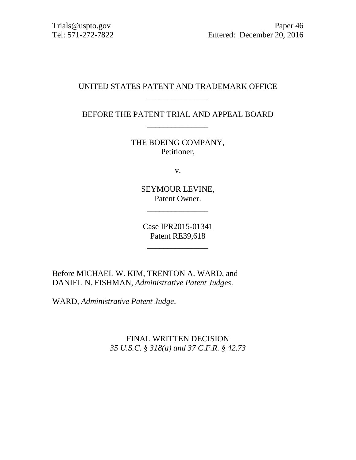## UNITED STATES PATENT AND TRADEMARK OFFICE \_\_\_\_\_\_\_\_\_\_\_\_\_\_\_

BEFORE THE PATENT TRIAL AND APPEAL BOARD \_\_\_\_\_\_\_\_\_\_\_\_\_\_\_

> THE BOEING COMPANY, Petitioner,

> > v.

SEYMOUR LEVINE, Patent Owner.

\_\_\_\_\_\_\_\_\_\_\_\_\_\_\_

Case IPR2015-01341 Patent RE39,618

\_\_\_\_\_\_\_\_\_\_\_\_\_\_\_

Before MICHAEL W. KIM, TRENTON A. WARD, and DANIEL N. FISHMAN, *Administrative Patent Judges*.

WARD, *Administrative Patent Judge*.

FINAL WRITTEN DECISION *35 U.S.C. § 318(a) and 37 C.F.R. § 42.73*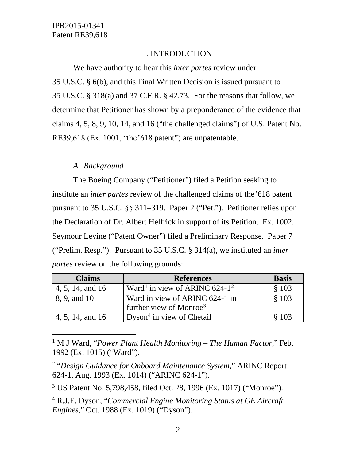## I. INTRODUCTION

We have authority to hear this *inter partes* review under 35 U.S.C. § 6(b), and this Final Written Decision is issued pursuant to 35 U.S.C. § 318(a) and 37 C.F.R. § 42.73. For the reasons that follow, we determine that Petitioner has shown by a preponderance of the evidence that claims 4, 5, 8, 9, 10, 14, and 16 ("the challenged claims") of U.S. Patent No. RE39,618 (Ex. 1001, "the '618 patent") are unpatentable.

## *A. Background*

The Boeing Company ("Petitioner") filed a Petition seeking to institute an *inter partes* review of the challenged claims of the'618 patent pursuant to 35 U.S.C. §§ 311–319. Paper 2 ("Pet."). Petitioner relies upon the Declaration of Dr. Albert Helfrick in support of its Petition. Ex. 1002. Seymour Levine ("Patent Owner") filed a Preliminary Response. Paper 7 ("Prelim. Resp."). Pursuant to 35 U.S.C. § 314(a), we instituted an *inter partes* review on the following grounds:

| <b>Claims</b>    | <b>References</b>                                     | <b>Basis</b> |
|------------------|-------------------------------------------------------|--------------|
| 4, 5, 14, and 16 | Ward <sup>1</sup> in view of ARINC 624-1 <sup>2</sup> | \$103        |
| 8, 9, and 10     | Ward in view of ARINC 624-1 in                        | \$103        |
|                  | further view of Monroe <sup>3</sup>                   |              |
| 4, 5, 14, and 16 | Dyson <sup>4</sup> in view of Chetail                 | \$103        |

<span id="page-1-0"></span> 1 M J Ward, "*Power Plant Health Monitoring – The Human Factor,*" Feb. 1992 (Ex. 1015) ("Ward").

<span id="page-1-1"></span><sup>2</sup> "*Design Guidance for Onboard Maintenance System*," ARINC Report 624-1, Aug. 1993 (Ex. 1014) ("ARINC 624-1").

<span id="page-1-2"></span><sup>3</sup> US Patent No. 5,798,458, filed Oct. 28, 1996 (Ex. 1017) ("Monroe").

<span id="page-1-3"></span><sup>4</sup> R.J.E. Dyson, "*Commercial Engine Monitoring Status at GE Aircraft Engines,*" Oct. 1988 (Ex. 1019) ("Dyson").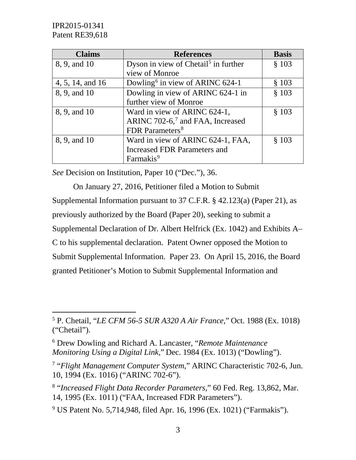| <b>Claims</b>    | <b>References</b>                                | <b>Basis</b> |
|------------------|--------------------------------------------------|--------------|
| 8, 9, and 10     | Dyson in view of Chetail <sup>5</sup> in further | \$103        |
|                  | view of Monroe                                   |              |
| 4, 5, 14, and 16 | Dowling <sup>6</sup> in view of ARINC $624-1$    | § 103        |
| 8, 9, and 10     | Dowling in view of ARINC 624-1 in                | \$103        |
|                  | further view of Monroe                           |              |
| 8, 9, and 10     | Ward in view of ARINC 624-1,                     | § 103        |
|                  | ARINC 702-6, <sup>7</sup> and FAA, Increased     |              |
|                  | FDR Parameters <sup>8</sup>                      |              |
| 8, 9, and 10     | Ward in view of ARINC 624-1, FAA,                | \$103        |
|                  | Increased FDR Parameters and                     |              |
|                  | Farmakis <sup>9</sup>                            |              |

*See* Decision on Institution, Paper 10 ("Dec."), 36.

On January 27, 2016, Petitioner filed a Motion to Submit Supplemental Information pursuant to 37 C.F.R. § 42.123(a) (Paper 21), as previously authorized by the Board (Paper 20), seeking to submit a Supplemental Declaration of Dr. Albert Helfrick (Ex. 1042) and Exhibits A– C to his supplemental declaration. Patent Owner opposed the Motion to Submit Supplemental Information. Paper 23. On April 15, 2016, the Board granted Petitioner's Motion to Submit Supplemental Information and

<span id="page-2-4"></span><sup>9</sup> US Patent No. 5,714,948, filed Apr. 16, 1996 (Ex. 1021) ("Farmakis").

<span id="page-2-0"></span> <sup>5</sup> P. Chetail, "*LE CFM 56-5 SUR A320 A Air France,*" Oct. 1988 (Ex. 1018) ("Chetail").

<span id="page-2-1"></span><sup>6</sup> Drew Dowling and Richard A. Lancaster, "*Remote Maintenance Monitoring Using a Digital Link,*" Dec. 1984 (Ex. 1013) ("Dowling").

<span id="page-2-2"></span><sup>7</sup> "*Flight Management Computer System*," ARINC Characteristic 702-6, Jun. 10, 1994 (Ex. 1016) ("ARINC 702-6").

<span id="page-2-3"></span><sup>8</sup> "*Increased Flight Data Recorder Parameters*," 60 Fed. Reg. 13,862, Mar. 14, 1995 (Ex. 1011) ("FAA, Increased FDR Parameters").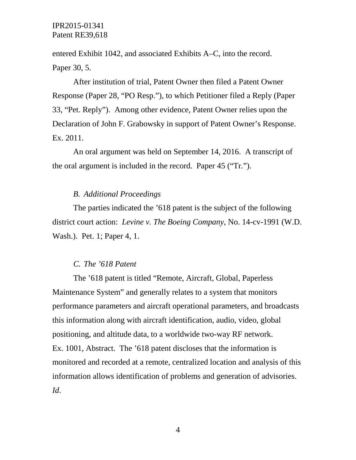entered Exhibit 1042, and associated Exhibits A–C, into the record. Paper 30, 5.

After institution of trial, Patent Owner then filed a Patent Owner Response (Paper 28, "PO Resp."), to which Petitioner filed a Reply (Paper 33, "Pet. Reply"). Among other evidence, Patent Owner relies upon the Declaration of John F. Grabowsky in support of Patent Owner's Response. Ex. 2011.

An oral argument was held on September 14, 2016. A transcript of the oral argument is included in the record. Paper 45 ("Tr.").

#### *B. Additional Proceedings*

The parties indicated the '618 patent is the subject of the following district court action: *Levine v. The Boeing Company*, No. 14-cv-1991 (W.D. Wash.). Pet. 1; Paper 4, 1.

#### *C. The '618 Patent*

The '618 patent is titled "Remote, Aircraft, Global, Paperless Maintenance System" and generally relates to a system that monitors performance parameters and aircraft operational parameters, and broadcasts this information along with aircraft identification, audio, video, global positioning, and altitude data, to a worldwide two-way RF network. Ex. 1001, Abstract. The '618 patent discloses that the information is monitored and recorded at a remote, centralized location and analysis of this information allows identification of problems and generation of advisories. *Id*.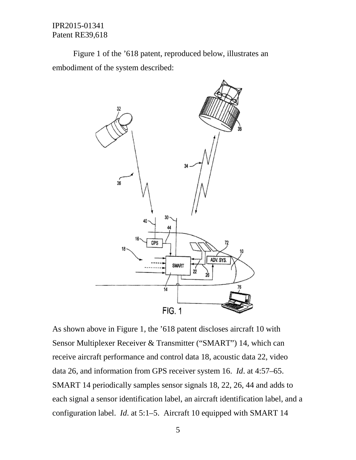Figure 1 of the '618 patent, reproduced below, illustrates an embodiment of the system described:



As shown above in Figure 1, the '618 patent discloses aircraft 10 with Sensor Multiplexer Receiver & Transmitter ("SMART") 14, which can receive aircraft performance and control data 18, acoustic data 22, video data 26, and information from GPS receiver system 16. *Id*. at 4:57–65. SMART 14 periodically samples sensor signals 18, 22, 26, 44 and adds to each signal a sensor identification label, an aircraft identification label, and a configuration label. *Id*. at 5:1–5. Aircraft 10 equipped with SMART 14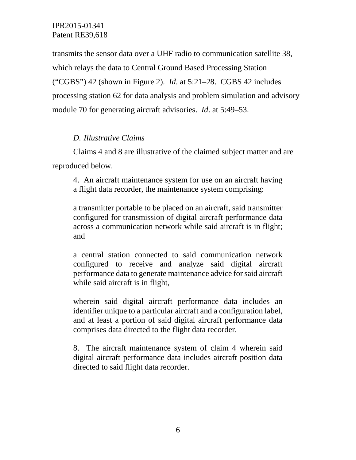transmits the sensor data over a UHF radio to communication satellite 38, which relays the data to Central Ground Based Processing Station ("CGBS") 42 (shown in Figure 2). *Id*. at 5:21–28. CGBS 42 includes processing station 62 for data analysis and problem simulation and advisory module 70 for generating aircraft advisories. *Id*. at 5:49–53.

## *D. Illustrative Claims*

Claims 4 and 8 are illustrative of the claimed subject matter and are reproduced below.

4. An aircraft maintenance system for use on an aircraft having a flight data recorder, the maintenance system comprising:

a transmitter portable to be placed on an aircraft, said transmitter configured for transmission of digital aircraft performance data across a communication network while said aircraft is in flight; and

a central station connected to said communication network configured to receive and analyze said digital aircraft performance data to generate maintenance advice for said aircraft while said aircraft is in flight,

wherein said digital aircraft performance data includes an identifier unique to a particular aircraft and a configuration label, and at least a portion of said digital aircraft performance data comprises data directed to the flight data recorder.

8. The aircraft maintenance system of claim 4 wherein said digital aircraft performance data includes aircraft position data directed to said flight data recorder.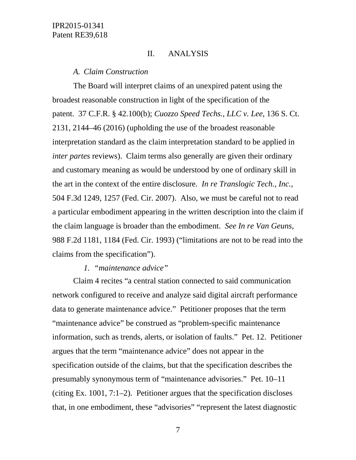#### II. ANALYSIS

#### *A. Claim Construction*

The Board will interpret claims of an unexpired patent using the broadest reasonable construction in light of the specification of the patent. 37 C.F.R. § 42.100(b); *Cuozzo Speed Techs., LLC v. Lee*, 136 S. Ct. 2131, 2144–46 (2016) (upholding the use of the broadest reasonable interpretation standard as the claim interpretation standard to be applied in *inter partes* reviews). Claim terms also generally are given their ordinary and customary meaning as would be understood by one of ordinary skill in the art in the context of the entire disclosure. *In re Translogic Tech., Inc.*, 504 F.3d 1249, 1257 (Fed. Cir. 2007). Also, we must be careful not to read a particular embodiment appearing in the written description into the claim if the claim language is broader than the embodiment. *See In re Van Geuns*, 988 F.2d 1181, 1184 (Fed. Cir. 1993) ("limitations are not to be read into the claims from the specification").

#### *1. "maintenance advice"*

Claim 4 recites "a central station connected to said communication network configured to receive and analyze said digital aircraft performance data to generate maintenance advice." Petitioner proposes that the term "maintenance advice" be construed as "problem-specific maintenance information, such as trends, alerts, or isolation of faults." Pet. 12. Petitioner argues that the term "maintenance advice" does not appear in the specification outside of the claims, but that the specification describes the presumably synonymous term of "maintenance advisories." Pet. 10–11 (citing Ex. 1001, 7:1–2). Petitioner argues that the specification discloses that, in one embodiment, these "advisories" "represent the latest diagnostic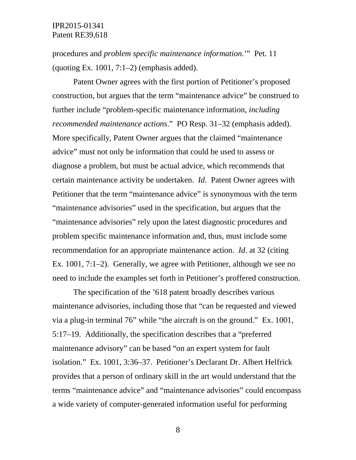procedures and *problem specific maintenance information*.'" Pet. 11 (quoting Ex. 1001,  $7:1-2$ ) (emphasis added).

Patent Owner agrees with the first portion of Petitioner's proposed construction, but argues that the term "maintenance advice" be construed to further include "problem-specific maintenance information, *including recommended maintenance actions*." PO Resp. 31–32 (emphasis added). More specifically, Patent Owner argues that the claimed "maintenance advice" must not only be information that could be used to assess or diagnose a problem, but must be actual advice, which recommends that certain maintenance activity be undertaken. *Id*. Patent Owner agrees with Petitioner that the term "maintenance advice" is synonymous with the term "maintenance advisories" used in the specification, but argues that the "maintenance advisories" rely upon the latest diagnostic procedures and problem specific maintenance information and, thus, must include some recommendation for an appropriate maintenance action. *Id*. at 32 (citing Ex. 1001, 7:1–2). Generally, we agree with Petitioner, although we see no need to include the examples set forth in Petitioner's proffered construction.

The specification of the '618 patent broadly describes various maintenance advisories, including those that "can be requested and viewed via a plug-in terminal 76" while "the aircraft is on the ground." Ex. 1001, 5:17–19. Additionally, the specification describes that a "preferred maintenance advisory" can be based "on an expert system for fault isolation." Ex. 1001, 3:36–37. Petitioner's Declarant Dr. Albert Helfrick provides that a person of ordinary skill in the art would understand that the terms "maintenance advice" and "maintenance advisories" could encompass a wide variety of computer-generated information useful for performing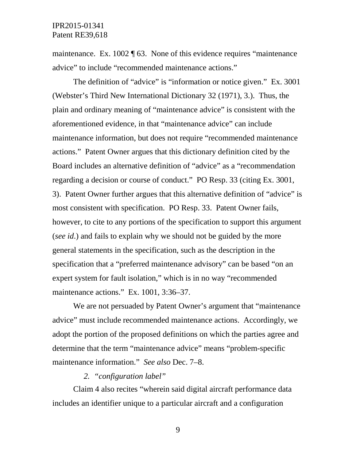maintenance. Ex. 1002 ¶ 63. None of this evidence requires "maintenance advice" to include "recommended maintenance actions."

The definition of "advice" is "information or notice given." Ex. 3001 (Webster's Third New International Dictionary 32 (1971), 3.). Thus, the plain and ordinary meaning of "maintenance advice" is consistent with the aforementioned evidence, in that "maintenance advice" can include maintenance information, but does not require "recommended maintenance actions." Patent Owner argues that this dictionary definition cited by the Board includes an alternative definition of "advice" as a "recommendation regarding a decision or course of conduct." PO Resp. 33 (citing Ex. 3001, 3). Patent Owner further argues that this alternative definition of "advice" is most consistent with specification. PO Resp. 33. Patent Owner fails, however, to cite to any portions of the specification to support this argument (*see id*.) and fails to explain why we should not be guided by the more general statements in the specification, such as the description in the specification that a "preferred maintenance advisory" can be based "on an expert system for fault isolation," which is in no way "recommended maintenance actions." Ex. 1001, 3:36–37.

We are not persuaded by Patent Owner's argument that "maintenance advice" must include recommended maintenance actions. Accordingly, we adopt the portion of the proposed definitions on which the parties agree and determine that the term "maintenance advice" means "problem-specific maintenance information." *See also* Dec. 7–8.

#### *2. "configuration label"*

Claim 4 also recites "wherein said digital aircraft performance data includes an identifier unique to a particular aircraft and a configuration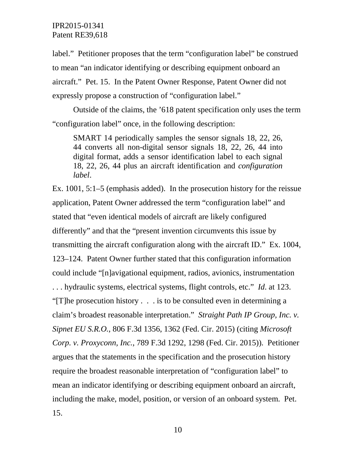label." Petitioner proposes that the term "configuration label" be construed to mean "an indicator identifying or describing equipment onboard an aircraft." Pet. 15. In the Patent Owner Response, Patent Owner did not expressly propose a construction of "configuration label."

Outside of the claims, the '618 patent specification only uses the term "configuration label" once, in the following description:

SMART 14 periodically samples the sensor signals 18, 22, 26, 44 converts all non-digital sensor signals 18, 22, 26, 44 into digital format, adds a sensor identification label to each signal 18, 22, 26, 44 plus an aircraft identification and *configuration label*.

Ex. 1001, 5:1–5 (emphasis added). In the prosecution history for the reissue application, Patent Owner addressed the term "configuration label" and stated that "even identical models of aircraft are likely configured differently" and that the "present invention circumvents this issue by transmitting the aircraft configuration along with the aircraft ID." Ex. 1004, 123–124. Patent Owner further stated that this configuration information could include "[n]avigational equipment, radios, avionics, instrumentation . . . hydraulic systems, electrical systems, flight controls, etc." *Id*. at 123. "[T]he prosecution history . . . is to be consulted even in determining a claim's broadest reasonable interpretation." *Straight Path IP Group, Inc. v. Sipnet EU S.R.O.*, 806 F.3d 1356, 1362 (Fed. Cir. 2015) (citing *Microsoft Corp. v. Proxyconn, Inc.*, 789 F.3d 1292, 1298 (Fed. Cir. 2015)). Petitioner argues that the statements in the specification and the prosecution history require the broadest reasonable interpretation of "configuration label" to mean an indicator identifying or describing equipment onboard an aircraft, including the make, model, position, or version of an onboard system. Pet. 15.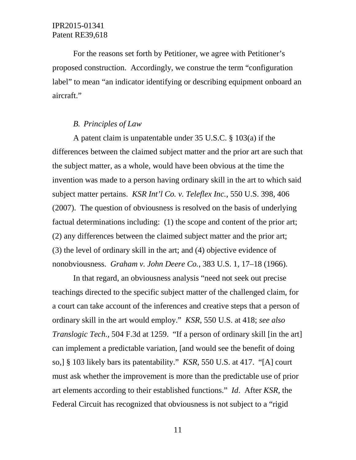For the reasons set forth by Petitioner, we agree with Petitioner's proposed construction. Accordingly, we construe the term "configuration label" to mean "an indicator identifying or describing equipment onboard an aircraft."

#### *B. Principles of Law*

A patent claim is unpatentable under 35 U.S.C. § 103(a) if the differences between the claimed subject matter and the prior art are such that the subject matter, as a whole, would have been obvious at the time the invention was made to a person having ordinary skill in the art to which said subject matter pertains. *KSR Int'l Co. v. Teleflex Inc.*, 550 U.S. 398, 406 (2007). The question of obviousness is resolved on the basis of underlying factual determinations including: (1) the scope and content of the prior art; (2) any differences between the claimed subject matter and the prior art; (3) the level of ordinary skill in the art; and (4) objective evidence of nonobviousness. *Graham v. John Deere Co.*, 383 U.S. 1, 17–18 (1966).

In that regard, an obviousness analysis "need not seek out precise teachings directed to the specific subject matter of the challenged claim, for a court can take account of the inferences and creative steps that a person of ordinary skill in the art would employ." *KSR*, 550 U.S. at 418; *see also Translogic Tech.,* 504 F.3d at 1259. "If a person of ordinary skill [in the art] can implement a predictable variation, [and would see the benefit of doing so,] § 103 likely bars its patentability." *KSR*, 550 U.S. at 417. "[A] court must ask whether the improvement is more than the predictable use of prior art elements according to their established functions." *Id*. After *KSR*, the Federal Circuit has recognized that obviousness is not subject to a "rigid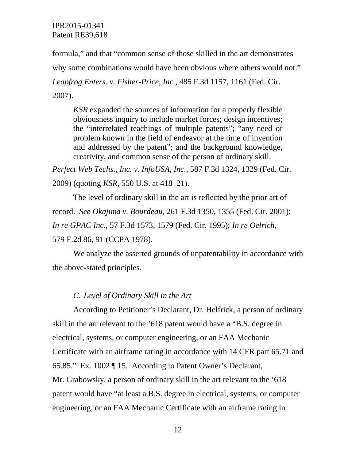formula," and that "common sense of those skilled in the art demonstrates why some combinations would have been obvious where others would not." *Leapfrog Enters. v. Fisher-Price, Inc.*, 485 F.3d 1157, 1161 (Fed. Cir. 2007).

*KSR* expanded the sources of information for a properly flexible obviousness inquiry to include market forces; design incentives; the "interrelated teachings of multiple patents"; "any need or problem known in the field of endeavor at the time of invention and addressed by the patent"; and the background knowledge, creativity, and common sense of the person of ordinary skill.

*Perfect Web Techs., Inc. v. InfoUSA, Inc.*, 587 F.3d 1324, 1329 (Fed. Cir. 2009) (quoting *KSR*, 550 U.S. at 418–21).

The level of ordinary skill in the art is reflected by the prior art of record. *See Okajima v. Bourdeau*, 261 F.3d 1350, 1355 (Fed. Cir. 2001); *In re GPAC Inc*., 57 F.3d 1573, 1579 (Fed. Cir. 1995); *In re Oelrich*, 579 F.2d 86, 91 (CCPA 1978).

We analyze the asserted grounds of unpatentability in accordance with the above-stated principles.

### *C. Level of Ordinary Skill in the Art*

According to Petitioner's Declarant, Dr. Helfrick, a person of ordinary skill in the art relevant to the '618 patent would have a "B.S. degree in electrical, systems, or computer engineering, or an FAA Mechanic Certificate with an airframe rating in accordance with 14 CFR part 65.71 and 65.85." Ex. 1002 ¶ 15. According to Patent Owner's Declarant, Mr. Grabowsky, a person of ordinary skill in the art relevant to the '618 patent would have "at least a B.S. degree in electrical, systems, or computer engineering, or an FAA Mechanic Certificate with an airframe rating in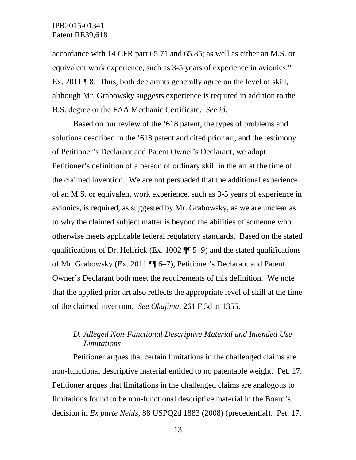accordance with 14 CFR part 65.71 and 65.85; as well as either an M.S. or equivalent work experience, such as 3-5 years of experience in avionics." Ex. 2011 ¶ 8. Thus, both declarants generally agree on the level of skill, although Mr. Grabowsky suggests experience is required in addition to the B.S. degree or the FAA Mechanic Certificate. *See id*.

Based on our review of the '618 patent, the types of problems and solutions described in the '618 patent and cited prior art, and the testimony of Petitioner's Declarant and Patent Owner's Declarant, we adopt Petitioner's definition of a person of ordinary skill in the art at the time of the claimed invention. We are not persuaded that the additional experience of an M.S. or equivalent work experience, such as 3-5 years of experience in avionics, is required, as suggested by Mr. Grabowsky, as we are unclear as to why the claimed subject matter is beyond the abilities of someone who otherwise meets applicable federal regulatory standards. Based on the stated qualifications of Dr. Helfrick (Ex. 1002 ¶¶ 5–9) and the stated qualifications of Mr. Grabowsky (Ex. 2011 ¶¶ 6–7), Petitioner's Declarant and Patent Owner's Declarant both meet the requirements of this definition. We note that the applied prior art also reflects the appropriate level of skill at the time of the claimed invention. *See Okajima*, 261 F.3d at 1355.

## *D. Alleged Non-Functional Descriptive Material and Intended Use Limitations*

Petitioner argues that certain limitations in the challenged claims are non-functional descriptive material entitled to no patentable weight. Pet. 17. Petitioner argues that limitations in the challenged claims are analogous to limitations found to be non-functional descriptive material in the Board's decision in *Ex parte Nehls*, 88 USPQ2d 1883 (2008) (precedential). Pet. 17.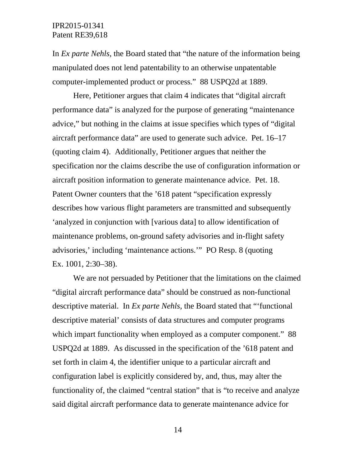In *Ex parte Nehls*, the Board stated that "the nature of the information being manipulated does not lend patentability to an otherwise unpatentable computer-implemented product or process." 88 USPQ2d at 1889.

Here, Petitioner argues that claim 4 indicates that "digital aircraft performance data" is analyzed for the purpose of generating "maintenance advice," but nothing in the claims at issue specifies which types of "digital aircraft performance data" are used to generate such advice. Pet. 16–17 (quoting claim 4). Additionally, Petitioner argues that neither the specification nor the claims describe the use of configuration information or aircraft position information to generate maintenance advice. Pet. 18. Patent Owner counters that the '618 patent "specification expressly describes how various flight parameters are transmitted and subsequently 'analyzed in conjunction with [various data] to allow identification of maintenance problems, on-ground safety advisories and in-flight safety advisories,' including 'maintenance actions.'" PO Resp. 8 (quoting Ex. 1001, 2:30–38).

We are not persuaded by Petitioner that the limitations on the claimed "digital aircraft performance data" should be construed as non-functional descriptive material. In *Ex parte Nehls*, the Board stated that "'functional descriptive material' consists of data structures and computer programs which impart functionality when employed as a computer component." 88 USPQ2d at 1889. As discussed in the specification of the '618 patent and set forth in claim 4, the identifier unique to a particular aircraft and configuration label is explicitly considered by, and, thus, may alter the functionality of, the claimed "central station" that is "to receive and analyze said digital aircraft performance data to generate maintenance advice for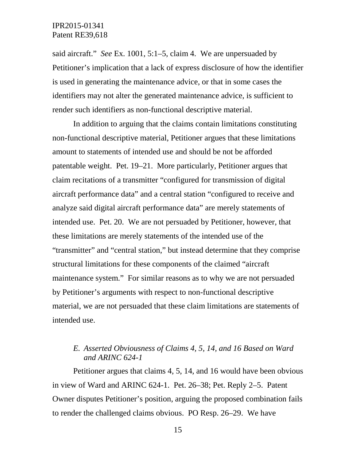said aircraft." *See* Ex. 1001, 5:1–5, claim 4. We are unpersuaded by Petitioner's implication that a lack of express disclosure of how the identifier is used in generating the maintenance advice, or that in some cases the identifiers may not alter the generated maintenance advice, is sufficient to render such identifiers as non-functional descriptive material.

In addition to arguing that the claims contain limitations constituting non-functional descriptive material, Petitioner argues that these limitations amount to statements of intended use and should be not be afforded patentable weight. Pet. 19–21. More particularly, Petitioner argues that claim recitations of a transmitter "configured for transmission of digital aircraft performance data" and a central station "configured to receive and analyze said digital aircraft performance data" are merely statements of intended use. Pet. 20. We are not persuaded by Petitioner, however, that these limitations are merely statements of the intended use of the "transmitter" and "central station," but instead determine that they comprise structural limitations for these components of the claimed "aircraft maintenance system." For similar reasons as to why we are not persuaded by Petitioner's arguments with respect to non-functional descriptive material, we are not persuaded that these claim limitations are statements of intended use.

## *E. Asserted Obviousness of Claims 4, 5, 14, and 16 Based on Ward and ARINC 624-1*

Petitioner argues that claims 4, 5, 14, and 16 would have been obvious in view of Ward and ARINC 624-1. Pet. 26–38; Pet. Reply 2–5. Patent Owner disputes Petitioner's position, arguing the proposed combination fails to render the challenged claims obvious. PO Resp. 26–29. We have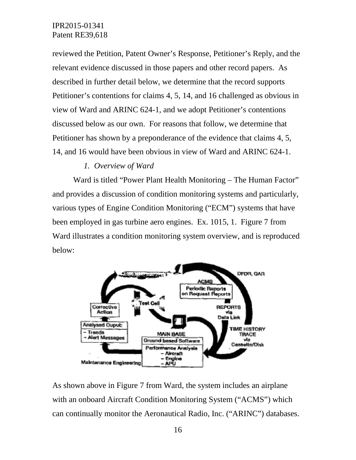reviewed the Petition, Patent Owner's Response, Petitioner's Reply, and the relevant evidence discussed in those papers and other record papers. As described in further detail below, we determine that the record supports Petitioner's contentions for claims 4, 5, 14, and 16 challenged as obvious in view of Ward and ARINC 624-1, and we adopt Petitioner's contentions discussed below as our own. For reasons that follow, we determine that Petitioner has shown by a preponderance of the evidence that claims 4, 5, 14, and 16 would have been obvious in view of Ward and ARINC 624-1.

## *1. Overview of Ward*

Ward is titled "Power Plant Health Monitoring – The Human Factor" and provides a discussion of condition monitoring systems and particularly, various types of Engine Condition Monitoring ("ECM") systems that have been employed in gas turbine aero engines. Ex. 1015, 1. Figure 7 from Ward illustrates a condition monitoring system overview, and is reproduced below:



As shown above in Figure 7 from Ward, the system includes an airplane with an onboard Aircraft Condition Monitoring System ("ACMS") which can continually monitor the Aeronautical Radio, Inc. ("ARINC") databases.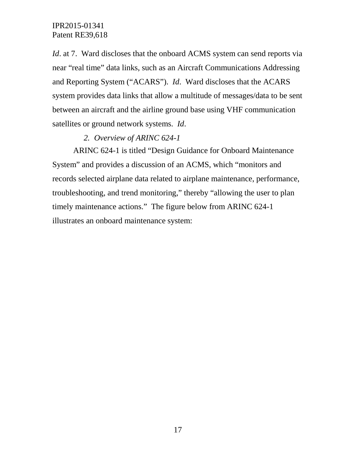*Id.* at 7. Ward discloses that the onboard ACMS system can send reports via near "real time" data links, such as an Aircraft Communications Addressing and Reporting System ("ACARS"). *Id*. Ward discloses that the ACARS system provides data links that allow a multitude of messages/data to be sent between an aircraft and the airline ground base using VHF communication satellites or ground network systems. *Id*.

## *2. Overview of ARINC 624-1*

ARINC 624-1 is titled "Design Guidance for Onboard Maintenance System" and provides a discussion of an ACMS, which "monitors and records selected airplane data related to airplane maintenance, performance, troubleshooting, and trend monitoring," thereby "allowing the user to plan timely maintenance actions." The figure below from ARINC 624-1 illustrates an onboard maintenance system: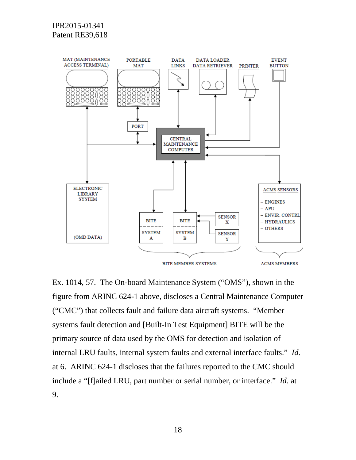

Ex. 1014, 57. The On-board Maintenance System ("OMS"), shown in the figure from ARINC 624-1 above, discloses a Central Maintenance Computer ("CMC") that collects fault and failure data aircraft systems. "Member systems fault detection and [Built-In Test Equipment] BITE will be the primary source of data used by the OMS for detection and isolation of internal LRU faults, internal system faults and external interface faults." *Id*. at 6. ARINC 624-1 discloses that the failures reported to the CMC should include a "[f]ailed LRU, part number or serial number, or interface." *Id*. at 9.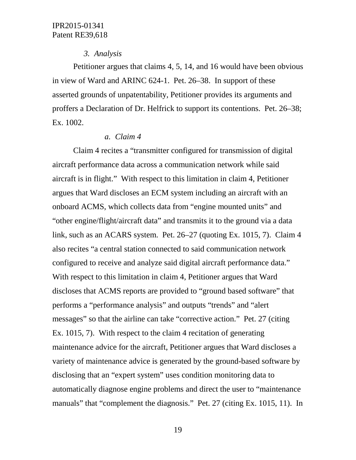#### *3. Analysis*

Petitioner argues that claims 4, 5, 14, and 16 would have been obvious in view of Ward and ARINC 624-1. Pet. 26–38. In support of these asserted grounds of unpatentability, Petitioner provides its arguments and proffers a Declaration of Dr. Helfrick to support its contentions. Pet. 26–38; Ex. 1002.

#### *a. Claim 4*

Claim 4 recites a "transmitter configured for transmission of digital aircraft performance data across a communication network while said aircraft is in flight." With respect to this limitation in claim 4, Petitioner argues that Ward discloses an ECM system including an aircraft with an onboard ACMS, which collects data from "engine mounted units" and "other engine/flight/aircraft data" and transmits it to the ground via a data link, such as an ACARS system. Pet. 26–27 (quoting Ex. 1015, 7). Claim 4 also recites "a central station connected to said communication network configured to receive and analyze said digital aircraft performance data." With respect to this limitation in claim 4, Petitioner argues that Ward discloses that ACMS reports are provided to "ground based software" that performs a "performance analysis" and outputs "trends" and "alert messages" so that the airline can take "corrective action." Pet. 27 (citing Ex. 1015, 7). With respect to the claim 4 recitation of generating maintenance advice for the aircraft, Petitioner argues that Ward discloses a variety of maintenance advice is generated by the ground-based software by disclosing that an "expert system" uses condition monitoring data to automatically diagnose engine problems and direct the user to "maintenance manuals" that "complement the diagnosis." Pet. 27 (citing Ex. 1015, 11). In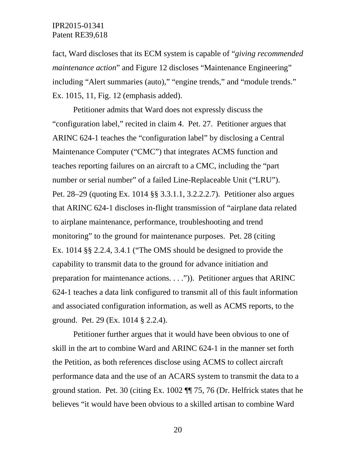fact, Ward discloses that its ECM system is capable of "*giving recommended maintenance action*" and Figure 12 discloses "Maintenance Engineering" including "Alert summaries (auto)," "engine trends," and "module trends." Ex. 1015, 11, Fig. 12 (emphasis added).

Petitioner admits that Ward does not expressly discuss the "configuration label," recited in claim 4. Pet. 27. Petitioner argues that ARINC 624-1 teaches the "configuration label" by disclosing a Central Maintenance Computer ("CMC") that integrates ACMS function and teaches reporting failures on an aircraft to a CMC, including the "part number or serial number" of a failed Line-Replaceable Unit ("LRU"). Pet. 28–29 (quoting Ex. 1014 §§ 3.3.1.1, 3.2.2.2.7). Petitioner also argues that ARINC 624-1 discloses in-flight transmission of "airplane data related to airplane maintenance, performance, troubleshooting and trend monitoring" to the ground for maintenance purposes. Pet. 28 (citing Ex. 1014 §§ 2.2.4, 3.4.1 ("The OMS should be designed to provide the capability to transmit data to the ground for advance initiation and preparation for maintenance actions. . . .")). Petitioner argues that ARINC 624-1 teaches a data link configured to transmit all of this fault information and associated configuration information, as well as ACMS reports, to the ground. Pet. 29 (Ex. 1014 § 2.2.4).

Petitioner further argues that it would have been obvious to one of skill in the art to combine Ward and ARINC 624-1 in the manner set forth the Petition, as both references disclose using ACMS to collect aircraft performance data and the use of an ACARS system to transmit the data to a ground station. Pet. 30 (citing Ex. 1002 ¶¶ 75, 76 (Dr. Helfrick states that he believes "it would have been obvious to a skilled artisan to combine Ward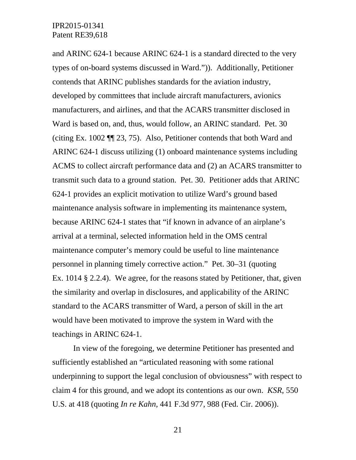and ARINC 624-1 because ARINC 624-1 is a standard directed to the very types of on-board systems discussed in Ward.")). Additionally, Petitioner contends that ARINC publishes standards for the aviation industry, developed by committees that include aircraft manufacturers, avionics manufacturers, and airlines, and that the ACARS transmitter disclosed in Ward is based on, and, thus, would follow, an ARINC standard. Pet. 30 (citing Ex. 1002 ¶¶ 23, 75). Also, Petitioner contends that both Ward and ARINC 624-1 discuss utilizing (1) onboard maintenance systems including ACMS to collect aircraft performance data and (2) an ACARS transmitter to transmit such data to a ground station. Pet. 30. Petitioner adds that ARINC 624-1 provides an explicit motivation to utilize Ward's ground based maintenance analysis software in implementing its maintenance system, because ARINC 624-1 states that "if known in advance of an airplane's arrival at a terminal, selected information held in the OMS central maintenance computer's memory could be useful to line maintenance personnel in planning timely corrective action." Pet. 30–31 (quoting Ex. 1014 § 2.2.4). We agree, for the reasons stated by Petitioner, that, given the similarity and overlap in disclosures, and applicability of the ARINC standard to the ACARS transmitter of Ward, a person of skill in the art would have been motivated to improve the system in Ward with the teachings in ARINC 624-1.

In view of the foregoing, we determine Petitioner has presented and sufficiently established an "articulated reasoning with some rational underpinning to support the legal conclusion of obviousness" with respect to claim 4 for this ground, and we adopt its contentions as our own. *KSR*, 550 U.S. at 418 (quoting *In re Kahn*, 441 F.3d 977, 988 (Fed. Cir. 2006)).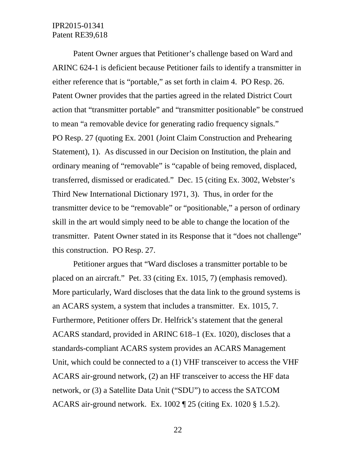Patent Owner argues that Petitioner's challenge based on Ward and ARINC 624-1 is deficient because Petitioner fails to identify a transmitter in either reference that is "portable," as set forth in claim 4. PO Resp. 26. Patent Owner provides that the parties agreed in the related District Court action that "transmitter portable" and "transmitter positionable" be construed to mean "a removable device for generating radio frequency signals." PO Resp. 27 (quoting Ex. 2001 (Joint Claim Construction and Prehearing Statement), 1). As discussed in our Decision on Institution, the plain and ordinary meaning of "removable" is "capable of being removed, displaced, transferred, dismissed or eradicated." Dec. 15 (citing Ex. 3002, Webster's Third New International Dictionary 1971, 3). Thus, in order for the transmitter device to be "removable" or "positionable," a person of ordinary skill in the art would simply need to be able to change the location of the transmitter. Patent Owner stated in its Response that it "does not challenge" this construction. PO Resp. 27.

Petitioner argues that "Ward discloses a transmitter portable to be placed on an aircraft." Pet. 33 (citing Ex. 1015, 7) (emphasis removed). More particularly, Ward discloses that the data link to the ground systems is an ACARS system, a system that includes a transmitter. Ex. 1015, 7. Furthermore, Petitioner offers Dr. Helfrick's statement that the general ACARS standard, provided in ARINC 618–1 (Ex. 1020), discloses that a standards-compliant ACARS system provides an ACARS Management Unit, which could be connected to a (1) VHF transceiver to access the VHF ACARS air-ground network, (2) an HF transceiver to access the HF data network, or (3) a Satellite Data Unit ("SDU") to access the SATCOM ACARS air-ground network. Ex. 1002 ¶ 25 (citing Ex. 1020 § 1.5.2).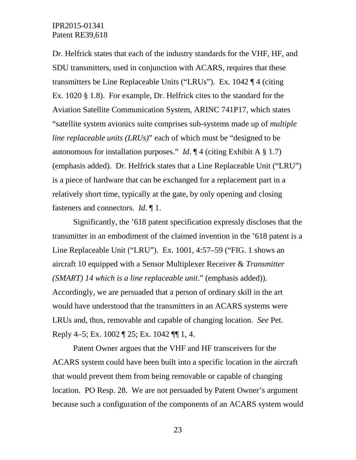Dr. Helfrick states that each of the industry standards for the VHF, HF, and SDU transmitters, used in conjunction with ACARS, requires that these transmitters be Line Replaceable Units ("LRUs"). Ex. 1042 ¶ 4 (citing Ex. 1020 § 1.8). For example, Dr. Helfrick cites to the standard for the Aviation Satellite Communication System, ARINC 741P17, which states "satellite system avionics suite comprises sub-systems made up of *multiple line replaceable units (LRUs)*" each of which must be "designed to be autonomous for installation purposes." *Id*. ¶ 4 (citing Exhibit A § 1.7) (emphasis added). Dr. Helfrick states that a Line Replaceable Unit ("LRU") is a piece of hardware that can be exchanged for a replacement part in a relatively short time, typically at the gate, by only opening and closing fasteners and connectors. *Id*. ¶ 1.

Significantly, the '618 patent specification expressly discloses that the transmitter in an embodiment of the claimed invention in the '618 patent is a Line Replaceable Unit ("LRU"). Ex. 1001, 4:57–59 ("FIG. 1 shows an aircraft 10 equipped with a Sensor Multiplexer Receiver & *Transmitter (SMART) 14 which is a line replaceable unit*." (emphasis added)). Accordingly, we are persuaded that a person of ordinary skill in the art would have understood that the transmitters in an ACARS systems were LRUs and, thus, removable and capable of changing location. *See* Pet. Reply 4–5; Ex. 1002 ¶ 25; Ex. 1042 ¶¶ 1, 4.

Patent Owner argues that the VHF and HF transceivers for the ACARS system could have been built into a specific location in the aircraft that would prevent them from being removable or capable of changing location. PO Resp. 28. We are not persuaded by Patent Owner's argument because such a configuration of the components of an ACARS system would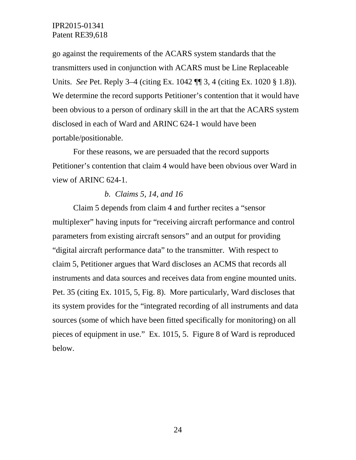go against the requirements of the ACARS system standards that the transmitters used in conjunction with ACARS must be Line Replaceable Units. *See* Pet. Reply 3–4 (citing Ex. 1042 ¶ 3, 4 (citing Ex. 1020 § 1.8)). We determine the record supports Petitioner's contention that it would have been obvious to a person of ordinary skill in the art that the ACARS system disclosed in each of Ward and ARINC 624-1 would have been portable/positionable.

For these reasons, we are persuaded that the record supports Petitioner's contention that claim 4 would have been obvious over Ward in view of ARINC 624-1.

#### *b. Claims 5, 14, and 16*

Claim 5 depends from claim 4 and further recites a "sensor multiplexer" having inputs for "receiving aircraft performance and control parameters from existing aircraft sensors" and an output for providing "digital aircraft performance data" to the transmitter. With respect to claim 5, Petitioner argues that Ward discloses an ACMS that records all instruments and data sources and receives data from engine mounted units. Pet. 35 (citing Ex. 1015, 5, Fig. 8). More particularly, Ward discloses that its system provides for the "integrated recording of all instruments and data sources (some of which have been fitted specifically for monitoring) on all pieces of equipment in use." Ex. 1015, 5. Figure 8 of Ward is reproduced below.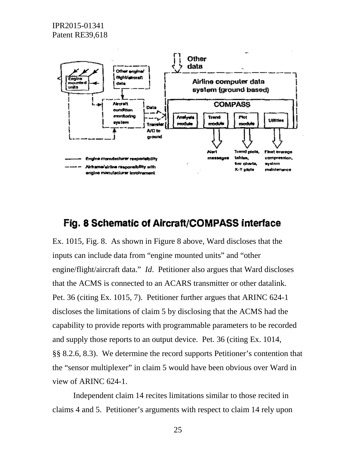

# Fig. 8 Schematic of Aircraft/COMPASS interface

Ex. 1015, Fig. 8. As shown in Figure 8 above, Ward discloses that the inputs can include data from "engine mounted units" and "other engine/flight/aircraft data." *Id*. Petitioner also argues that Ward discloses that the ACMS is connected to an ACARS transmitter or other datalink. Pet. 36 (citing Ex. 1015, 7). Petitioner further argues that ARINC 624-1 discloses the limitations of claim 5 by disclosing that the ACMS had the capability to provide reports with programmable parameters to be recorded and supply those reports to an output device. Pet. 36 (citing Ex. 1014, §§ 8.2.6, 8.3). We determine the record supports Petitioner's contention that the "sensor multiplexer" in claim 5 would have been obvious over Ward in view of ARINC 624-1.

Independent claim 14 recites limitations similar to those recited in claims 4 and 5. Petitioner's arguments with respect to claim 14 rely upon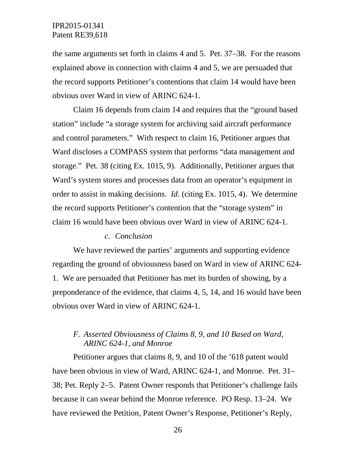the same arguments set forth in claims 4 and 5. Pet. 37–38. For the reasons explained above in connection with claims 4 and 5, we are persuaded that the record supports Petitioner's contentions that claim 14 would have been obvious over Ward in view of ARINC 624-1.

Claim 16 depends from claim 14 and requires that the "ground based station" include "a storage system for archiving said aircraft performance and control parameters." With respect to claim 16, Petitioner argues that Ward discloses a COMPASS system that performs "data management and storage." Pet. 38 (citing Ex. 1015, 9). Additionally, Petitioner argues that Ward's system stores and processes data from an operator's equipment in order to assist in making decisions. *Id*. (citing Ex. 1015, 4). We determine the record supports Petitioner's contention that the "storage system" in claim 16 would have been obvious over Ward in view of ARINC 624-1.

#### *c. Conclusion*

We have reviewed the parties' arguments and supporting evidence regarding the ground of obviousness based on Ward in view of ARINC 624- 1. We are persuaded that Petitioner has met its burden of showing, by a preponderance of the evidence, that claims 4, 5, 14, and 16 would have been obvious over Ward in view of ARINC 624-1.

## *F. Asserted Obviousness of Claims 8, 9, and 10 Based on Ward, ARINC 624-1, and Monroe*

Petitioner argues that claims 8, 9, and 10 of the '618 patent would have been obvious in view of Ward, ARINC 624-1, and Monroe. Pet. 31– 38; Pet. Reply 2–5. Patent Owner responds that Petitioner's challenge fails because it can swear behind the Monroe reference. PO Resp. 13–24. We have reviewed the Petition, Patent Owner's Response, Petitioner's Reply,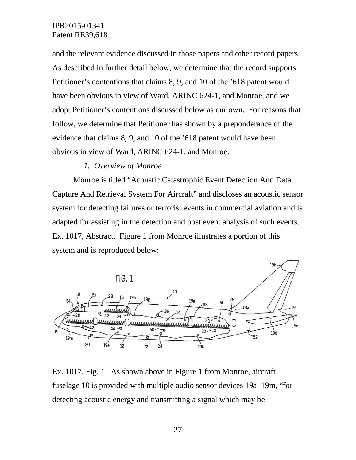and the relevant evidence discussed in those papers and other record papers. As described in further detail below, we determine that the record supports Petitioner's contentions that claims 8, 9, and 10 of the '618 patent would have been obvious in view of Ward, ARINC 624-1, and Monroe, and we adopt Petitioner's contentions discussed below as our own. For reasons that follow, we determine that Petitioner has shown by a preponderance of the evidence that claims 8, 9, and 10 of the '618 patent would have been obvious in view of Ward, ARINC 624-1, and Monroe.

#### *1. Overview of Monroe*

Monroe is titled "Acoustic Catastrophic Event Detection And Data Capture And Retrieval System For Aircraft" and discloses an acoustic sensor system for detecting failures or terrorist events in commercial aviation and is adapted for assisting in the detection and post event analysis of such events. Ex. 1017*,* Abstract. Figure 1 from Monroe illustrates a portion of this system and is reproduced below:



Ex. 1017, Fig. 1. As shown above in Figure 1 from Monroe, aircraft fuselage 10 is provided with multiple audio sensor devices 19a–19m, "for detecting acoustic energy and transmitting a signal which may be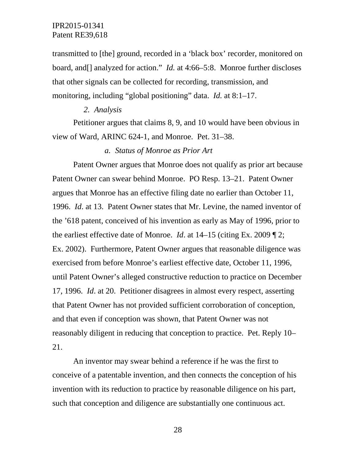transmitted to [the] ground, recorded in a 'black box' recorder, monitored on board, and[] analyzed for action." *Id.* at 4:66–5:8. Monroe further discloses that other signals can be collected for recording, transmission, and monitoring, including "global positioning" data. *Id.* at 8:1–17.

### *2. Analysis*

Petitioner argues that claims 8, 9, and 10 would have been obvious in view of Ward, ARINC 624-1, and Monroe. Pet. 31–38.

#### *a. Status of Monroe as Prior Art*

Patent Owner argues that Monroe does not qualify as prior art because Patent Owner can swear behind Monroe. PO Resp. 13–21. Patent Owner argues that Monroe has an effective filing date no earlier than October 11, 1996. *Id*. at 13. Patent Owner states that Mr. Levine, the named inventor of the '618 patent, conceived of his invention as early as May of 1996, prior to the earliest effective date of Monroe. *Id*. at 14–15 (citing Ex. 2009 ¶ 2; Ex. 2002). Furthermore, Patent Owner argues that reasonable diligence was exercised from before Monroe's earliest effective date, October 11, 1996, until Patent Owner's alleged constructive reduction to practice on December 17, 1996. *Id*. at 20. Petitioner disagrees in almost every respect, asserting that Patent Owner has not provided sufficient corroboration of conception, and that even if conception was shown, that Patent Owner was not reasonably diligent in reducing that conception to practice. Pet. Reply 10– 21.

An inventor may swear behind a reference if he was the first to conceive of a patentable invention, and then connects the conception of his invention with its reduction to practice by reasonable diligence on his part, such that conception and diligence are substantially one continuous act.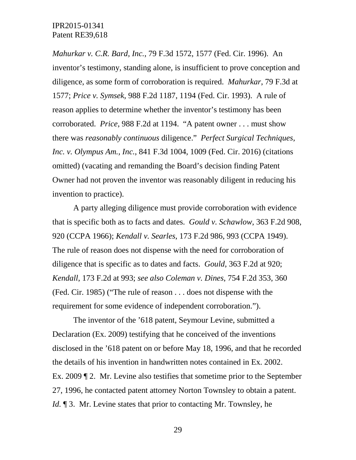*Mahurkar v. C.R. Bard, Inc.*, 79 F.3d 1572, 1577 (Fed. Cir. 1996). An inventor's testimony, standing alone, is insufficient to prove conception and diligence, as some form of corroboration is required. *Mahurkar*, 79 F.3d at 1577; *Price v. Symsek*, 988 F.2d 1187, 1194 (Fed. Cir. 1993). A rule of reason applies to determine whether the inventor's testimony has been corroborated. *Price*, 988 F.2d at 1194. "A patent owner . . . must show there was *reasonably continuous* diligence." *Perfect Surgical Techniques, Inc. v. Olympus Am., Inc.*, 841 F.3d 1004, 1009 (Fed. Cir. 2016) (citations omitted) (vacating and remanding the Board's decision finding Patent Owner had not proven the inventor was reasonably diligent in reducing his invention to practice).

A party alleging diligence must provide corroboration with evidence that is specific both as to facts and dates. *Gould v. Schawlow*, 363 F.2d 908, 920 (CCPA 1966); *Kendall v. Searles*, 173 F.2d 986, 993 (CCPA 1949). The rule of reason does not dispense with the need for corroboration of diligence that is specific as to dates and facts. *Gould*, 363 F.2d at 920; *Kendall*, 173 F.2d at 993; *see also Coleman v. Dines*, 754 F.2d 353, 360 (Fed. Cir. 1985) ("The rule of reason . . . does not dispense with the requirement for some evidence of independent corroboration.").

The inventor of the '618 patent, Seymour Levine, submitted a Declaration (Ex. 2009) testifying that he conceived of the inventions disclosed in the '618 patent on or before May 18, 1996, and that he recorded the details of his invention in handwritten notes contained in Ex. 2002. Ex. 2009 ¶ 2. Mr. Levine also testifies that sometime prior to the September 27, 1996, he contacted patent attorney Norton Townsley to obtain a patent. *Id.* 13. Mr. Levine states that prior to contacting Mr. Townsley, he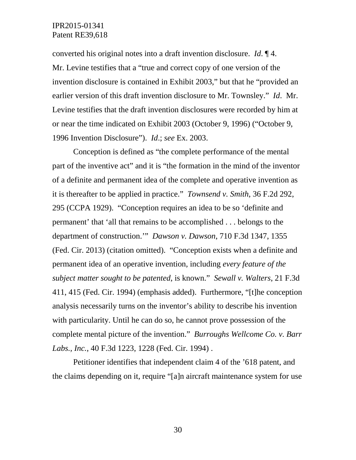converted his original notes into a draft invention disclosure. *Id*. ¶ 4. Mr. Levine testifies that a "true and correct copy of one version of the invention disclosure is contained in Exhibit 2003," but that he "provided an earlier version of this draft invention disclosure to Mr. Townsley." *Id*. Mr. Levine testifies that the draft invention disclosures were recorded by him at or near the time indicated on Exhibit 2003 (October 9, 1996) ("October 9, 1996 Invention Disclosure"). *Id*.; *see* Ex. 2003.

Conception is defined as "the complete performance of the mental part of the inventive act" and it is "the formation in the mind of the inventor of a definite and permanent idea of the complete and operative invention as it is thereafter to be applied in practice." *Townsend v. Smith*, 36 F.2d 292, 295 (CCPA 1929). "Conception requires an idea to be so 'definite and permanent' that 'all that remains to be accomplished . . . belongs to the department of construction.'" *Dawson v. Dawson*, 710 F.3d 1347, 1355 (Fed. Cir. 2013) (citation omitted). "Conception exists when a definite and permanent idea of an operative invention, including *every feature of the subject matter sought to be patented*, is known." *Sewall v. Walters*, 21 F.3d 411, 415 (Fed. Cir. 1994) (emphasis added). Furthermore, "[t]he conception analysis necessarily turns on the inventor's ability to describe his invention with particularity. Until he can do so, he cannot prove possession of the complete mental picture of the invention." *Burroughs Wellcome Co. v. Barr Labs., Inc.*, 40 F.3d 1223, 1228 (Fed. Cir. 1994) .

Petitioner identifies that independent claim 4 of the '618 patent, and the claims depending on it, require "[a]n aircraft maintenance system for use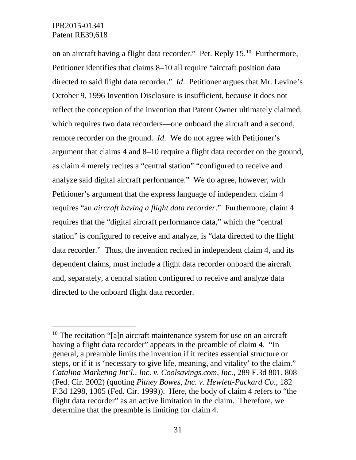on an aircraft having a flight data recorder." Pet. Reply 15.[10](#page-30-0) Furthermore, Petitioner identifies that claims 8–10 all require "aircraft position data directed to said flight data recorder." *Id*. Petitioner argues that Mr. Levine's October 9, 1996 Invention Disclosure is insufficient, because it does not reflect the conception of the invention that Patent Owner ultimately claimed, which requires two data recorders—one onboard the aircraft and a second, remote recorder on the ground. *Id*. We do not agree with Petitioner's argument that claims 4 and 8–10 require a flight data recorder on the ground, as claim 4 merely recites a "central station" "configured to receive and analyze said digital aircraft performance." We do agree, however, with Petitioner's argument that the express language of independent claim 4 requires "an *aircraft having a flight data recorder*." Furthermore, claim 4 requires that the "digital aircraft performance data," which the "central station" is configured to receive and analyze, is "data directed to the flight data recorder." Thus, the invention recited in independent claim 4, and its dependent claims, must include a flight data recorder onboard the aircraft and, separately, a central station configured to receive and analyze data directed to the onboard flight data recorder.

<span id="page-30-0"></span> $10$  The recitation "[a]n aircraft maintenance system for use on an aircraft having a flight data recorder" appears in the preamble of claim 4. "In general, a preamble limits the invention if it recites essential structure or steps, or if it is 'necessary to give life, meaning, and vitality' to the claim." *Catalina Marketing Int'l., Inc. v. Coolsavings.com, Inc.*, 289 F.3d 801, 808 (Fed. Cir. 2002) (quoting *Pitney Bowes, Inc. v. Hewlett-Packard Co.*, 182 F.3d 1298, 1305 (Fed. Cir. 1999)). Here, the body of claim 4 refers to "the flight data recorder" as an active limitation in the claim. Therefore, we determine that the preamble is limiting for claim 4.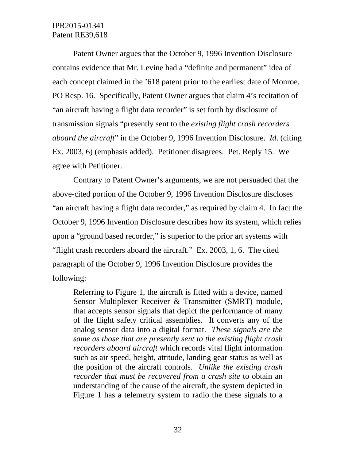Patent Owner argues that the October 9, 1996 Invention Disclosure contains evidence that Mr. Levine had a "definite and permanent" idea of each concept claimed in the '618 patent prior to the earliest date of Monroe. PO Resp. 16. Specifically, Patent Owner argues that claim 4's recitation of "an aircraft having a flight data recorder" is set forth by disclosure of transmission signals "presently sent to the *existing flight crash recorders aboard the aircraft*" in the October 9, 1996 Invention Disclosure. *Id*. (citing Ex. 2003, 6) (emphasis added). Petitioner disagrees. Pet. Reply 15. We agree with Petitioner.

Contrary to Patent Owner's arguments, we are not persuaded that the above-cited portion of the October 9, 1996 Invention Disclosure discloses "an aircraft having a flight data recorder," as required by claim 4. In fact the October 9, 1996 Invention Disclosure describes how its system, which relies upon a "ground based recorder," is superior to the prior art systems with "flight crash recorders aboard the aircraft." Ex. 2003, 1, 6. The cited paragraph of the October 9, 1996 Invention Disclosure provides the following:

Referring to Figure 1, the aircraft is fitted with a device, named Sensor Multiplexer Receiver & Transmitter (SMRT) module, that accepts sensor signals that depict the performance of many of the flight safety critical assemblies. It converts any of the analog sensor data into a digital format. *These signals are the same as those that are presently sent to the existing flight crash recorders aboard aircraft* which records vital flight information such as air speed, height, attitude, landing gear status as well as the position of the aircraft controls. *Unlike the existing crash recorder that must be recovered from a crash site* to obtain an understanding of the cause of the aircraft, the system depicted in Figure 1 has a telemetry system to radio the these signals to a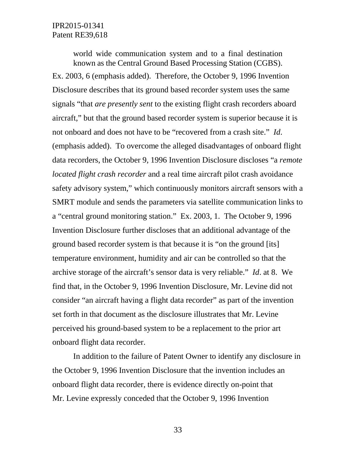world wide communication system and to a final destination known as the Central Ground Based Processing Station (CGBS). Ex. 2003, 6 (emphasis added). Therefore, the October 9, 1996 Invention Disclosure describes that its ground based recorder system uses the same signals "that *are presently sent* to the existing flight crash recorders aboard aircraft," but that the ground based recorder system is superior because it is not onboard and does not have to be "recovered from a crash site." *Id*. (emphasis added). To overcome the alleged disadvantages of onboard flight data recorders, the October 9, 1996 Invention Disclosure discloses "a *remote located flight crash recorder* and a real time aircraft pilot crash avoidance safety advisory system," which continuously monitors aircraft sensors with a SMRT module and sends the parameters via satellite communication links to a "central ground monitoring station." Ex. 2003, 1. The October 9, 1996 Invention Disclosure further discloses that an additional advantage of the ground based recorder system is that because it is "on the ground [its] temperature environment, humidity and air can be controlled so that the archive storage of the aircraft's sensor data is very reliable." *Id*. at 8. We find that, in the October 9, 1996 Invention Disclosure, Mr. Levine did not consider "an aircraft having a flight data recorder" as part of the invention set forth in that document as the disclosure illustrates that Mr. Levine perceived his ground-based system to be a replacement to the prior art onboard flight data recorder.

In addition to the failure of Patent Owner to identify any disclosure in the October 9, 1996 Invention Disclosure that the invention includes an onboard flight data recorder, there is evidence directly on-point that Mr. Levine expressly conceded that the October 9, 1996 Invention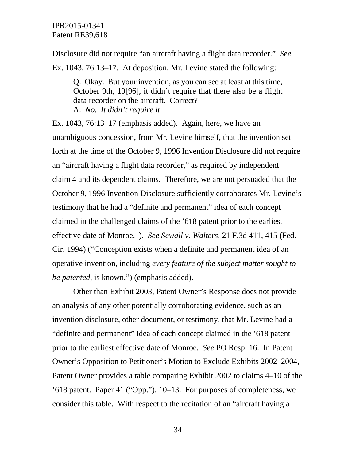Disclosure did not require "an aircraft having a flight data recorder." *See* Ex. 1043, 76:13–17. At deposition, Mr. Levine stated the following:

Q. Okay. But your invention, as you can see at least at this time, October 9th, 19[96], it didn't require that there also be a flight data recorder on the aircraft. Correct? A. *No. It didn't require it*.

Ex. 1043, 76:13–17 (emphasis added). Again, here, we have an unambiguous concession, from Mr. Levine himself, that the invention set forth at the time of the October 9, 1996 Invention Disclosure did not require an "aircraft having a flight data recorder," as required by independent claim 4 and its dependent claims. Therefore, we are not persuaded that the October 9, 1996 Invention Disclosure sufficiently corroborates Mr. Levine's testimony that he had a "definite and permanent" idea of each concept claimed in the challenged claims of the '618 patent prior to the earliest effective date of Monroe. ). *See Sewall v. Walters*, 21 F.3d 411, 415 (Fed. Cir. 1994) ("Conception exists when a definite and permanent idea of an operative invention, including *every feature of the subject matter sought to be patented*, is known.") (emphasis added).

Other than Exhibit 2003, Patent Owner's Response does not provide an analysis of any other potentially corroborating evidence, such as an invention disclosure, other document, or testimony, that Mr. Levine had a "definite and permanent" idea of each concept claimed in the '618 patent prior to the earliest effective date of Monroe. *See* PO Resp. 16. In Patent Owner's Opposition to Petitioner's Motion to Exclude Exhibits 2002–2004, Patent Owner provides a table comparing Exhibit 2002 to claims 4–10 of the '618 patent. Paper 41 ("Opp."), 10–13. For purposes of completeness, we consider this table. With respect to the recitation of an "aircraft having a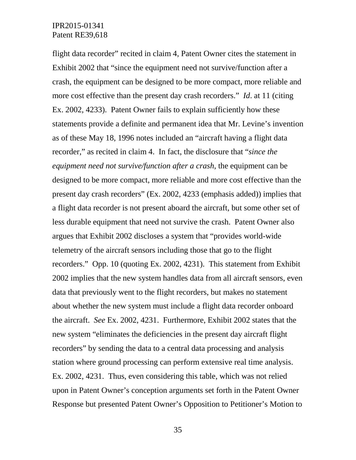flight data recorder" recited in claim 4, Patent Owner cites the statement in Exhibit 2002 that "since the equipment need not survive/function after a crash, the equipment can be designed to be more compact, more reliable and more cost effective than the present day crash recorders." *Id*. at 11 (citing Ex. 2002, 4233). Patent Owner fails to explain sufficiently how these statements provide a definite and permanent idea that Mr. Levine's invention as of these May 18, 1996 notes included an "aircraft having a flight data recorder," as recited in claim 4. In fact, the disclosure that "*since the equipment need not survive/function after a crash*, the equipment can be designed to be more compact, more reliable and more cost effective than the present day crash recorders" (Ex. 2002, 4233 (emphasis added)) implies that a flight data recorder is not present aboard the aircraft, but some other set of less durable equipment that need not survive the crash. Patent Owner also argues that Exhibit 2002 discloses a system that "provides world-wide telemetry of the aircraft sensors including those that go to the flight recorders." Opp. 10 (quoting Ex. 2002, 4231). This statement from Exhibit 2002 implies that the new system handles data from all aircraft sensors, even data that previously went to the flight recorders, but makes no statement about whether the new system must include a flight data recorder onboard the aircraft. *See* Ex. 2002, 4231. Furthermore, Exhibit 2002 states that the new system "eliminates the deficiencies in the present day aircraft flight recorders" by sending the data to a central data processing and analysis station where ground processing can perform extensive real time analysis. Ex. 2002, 4231. Thus, even considering this table, which was not relied upon in Patent Owner's conception arguments set forth in the Patent Owner Response but presented Patent Owner's Opposition to Petitioner's Motion to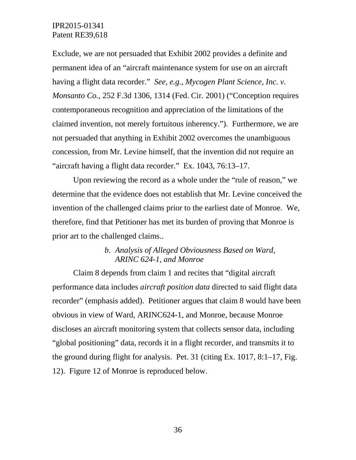Exclude, we are not persuaded that Exhibit 2002 provides a definite and permanent idea of an "aircraft maintenance system for use on an aircraft having a flight data recorder." *See, e.g., Mycogen Plant Science, Inc. v. Monsanto Co.*, 252 F.3d 1306, 1314 (Fed. Cir. 2001) ("Conception requires contemporaneous recognition and appreciation of the limitations of the claimed invention, not merely fortuitous inherency."). Furthermore, we are not persuaded that anything in Exhibit 2002 overcomes the unambiguous concession, from Mr. Levine himself, that the invention did not require an "aircraft having a flight data recorder." Ex. 1043, 76:13–17.

Upon reviewing the record as a whole under the "rule of reason," we determine that the evidence does not establish that Mr. Levine conceived the invention of the challenged claims prior to the earliest date of Monroe. We, therefore, find that Petitioner has met its burden of proving that Monroe is prior art to the challenged claims..

## *b. Analysis of Alleged Obviousness Based on Ward, ARINC 624-1, and Monroe*

Claim 8 depends from claim 1 and recites that "digital aircraft performance data includes *aircraft position data* directed to said flight data recorder" (emphasis added). Petitioner argues that claim 8 would have been obvious in view of Ward, ARINC624-1, and Monroe, because Monroe discloses an aircraft monitoring system that collects sensor data, including "global positioning" data, records it in a flight recorder, and transmits it to the ground during flight for analysis. Pet. 31 (citing Ex. 1017, 8:1–17, Fig. 12). Figure 12 of Monroe is reproduced below.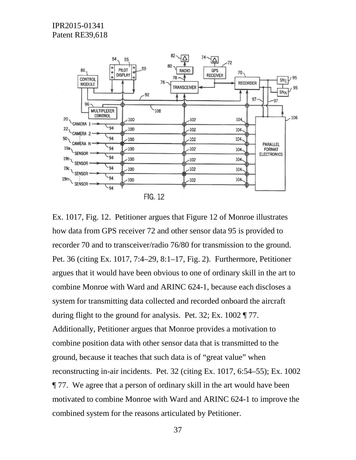

Ex. 1017, Fig. 12. Petitioner argues that Figure 12 of Monroe illustrates how data from GPS receiver 72 and other sensor data 95 is provided to recorder 70 and to transceiver/radio 76/80 for transmission to the ground. Pet. 36 (citing Ex. 1017, 7:4–29, 8:1–17, Fig. 2). Furthermore, Petitioner argues that it would have been obvious to one of ordinary skill in the art to combine Monroe with Ward and ARINC 624-1, because each discloses a system for transmitting data collected and recorded onboard the aircraft during flight to the ground for analysis. Pet. 32; Ex. 1002 ¶ 77. Additionally, Petitioner argues that Monroe provides a motivation to combine position data with other sensor data that is transmitted to the ground, because it teaches that such data is of "great value" when reconstructing in-air incidents. Pet. 32 (citing Ex. 1017, 6:54–55); Ex. 1002 ¶ 77. We agree that a person of ordinary skill in the art would have been motivated to combine Monroe with Ward and ARINC 624-1 to improve the combined system for the reasons articulated by Petitioner.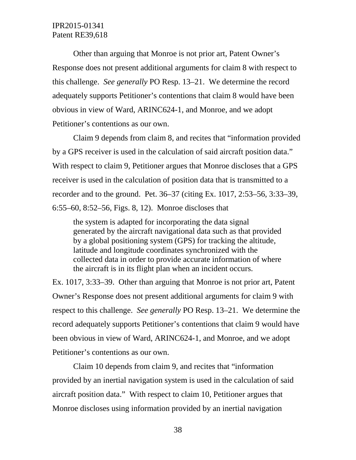Other than arguing that Monroe is not prior art, Patent Owner's Response does not present additional arguments for claim 8 with respect to this challenge. *See generally* PO Resp. 13–21. We determine the record adequately supports Petitioner's contentions that claim 8 would have been obvious in view of Ward, ARINC624-1, and Monroe, and we adopt Petitioner's contentions as our own.

Claim 9 depends from claim 8, and recites that "information provided by a GPS receiver is used in the calculation of said aircraft position data." With respect to claim 9, Petitioner argues that Monroe discloses that a GPS receiver is used in the calculation of position data that is transmitted to a recorder and to the ground. Pet. 36–37 (citing Ex. 1017, 2:53–56, 3:33–39, 6:55–60, 8:52–56, Figs. 8, 12). Monroe discloses that

the system is adapted for incorporating the data signal generated by the aircraft navigational data such as that provided by a global positioning system (GPS) for tracking the altitude, latitude and longitude coordinates synchronized with the collected data in order to provide accurate information of where the aircraft is in its flight plan when an incident occurs.

Ex. 1017, 3:33–39. Other than arguing that Monroe is not prior art, Patent Owner's Response does not present additional arguments for claim 9 with respect to this challenge. *See generally* PO Resp. 13–21. We determine the record adequately supports Petitioner's contentions that claim 9 would have been obvious in view of Ward, ARINC624-1, and Monroe, and we adopt Petitioner's contentions as our own.

Claim 10 depends from claim 9, and recites that "information provided by an inertial navigation system is used in the calculation of said aircraft position data." With respect to claim 10, Petitioner argues that Monroe discloses using information provided by an inertial navigation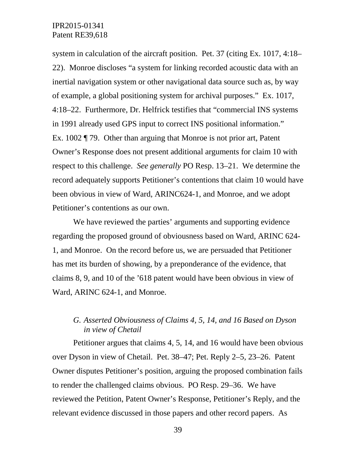system in calculation of the aircraft position. Pet. 37 (citing Ex. 1017, 4:18– 22). Monroe discloses "a system for linking recorded acoustic data with an inertial navigation system or other navigational data source such as, by way of example, a global positioning system for archival purposes." Ex. 1017, 4:18–22. Furthermore, Dr. Helfrick testifies that "commercial INS systems in 1991 already used GPS input to correct INS positional information." Ex. 1002 ¶ 79. Other than arguing that Monroe is not prior art, Patent Owner's Response does not present additional arguments for claim 10 with respect to this challenge. *See generally* PO Resp. 13–21. We determine the record adequately supports Petitioner's contentions that claim 10 would have been obvious in view of Ward, ARINC624-1, and Monroe, and we adopt Petitioner's contentions as our own.

We have reviewed the parties' arguments and supporting evidence regarding the proposed ground of obviousness based on Ward, ARINC 624- 1, and Monroe. On the record before us, we are persuaded that Petitioner has met its burden of showing, by a preponderance of the evidence, that claims 8, 9, and 10 of the '618 patent would have been obvious in view of Ward, ARINC 624-1, and Monroe.

## *G. Asserted Obviousness of Claims 4, 5, 14, and 16 Based on Dyson in view of Chetail*

Petitioner argues that claims 4, 5, 14, and 16 would have been obvious over Dyson in view of Chetail. Pet. 38–47; Pet. Reply 2–5, 23–26. Patent Owner disputes Petitioner's position, arguing the proposed combination fails to render the challenged claims obvious. PO Resp. 29–36. We have reviewed the Petition, Patent Owner's Response, Petitioner's Reply, and the relevant evidence discussed in those papers and other record papers. As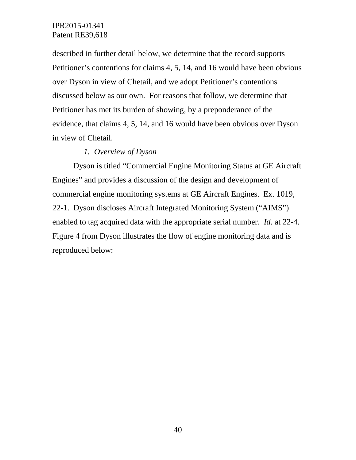described in further detail below, we determine that the record supports Petitioner's contentions for claims 4, 5, 14, and 16 would have been obvious over Dyson in view of Chetail, and we adopt Petitioner's contentions discussed below as our own. For reasons that follow, we determine that Petitioner has met its burden of showing, by a preponderance of the evidence, that claims 4, 5, 14, and 16 would have been obvious over Dyson in view of Chetail.

## *1. Overview of Dyson*

Dyson is titled "Commercial Engine Monitoring Status at GE Aircraft Engines" and provides a discussion of the design and development of commercial engine monitoring systems at GE Aircraft Engines. Ex. 1019, 22-1. Dyson discloses Aircraft Integrated Monitoring System ("AIMS") enabled to tag acquired data with the appropriate serial number. *Id*. at 22-4. Figure 4 from Dyson illustrates the flow of engine monitoring data and is reproduced below: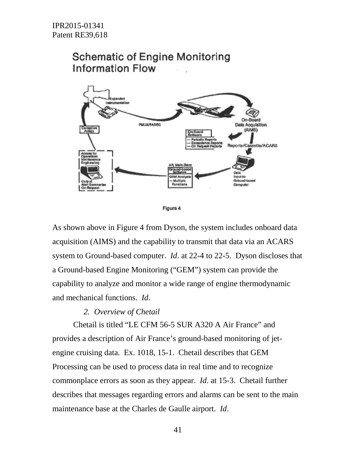

Figure 4

As shown above in Figure 4 from Dyson, the system includes onboard data acquisition (AIMS) and the capability to transmit that data via an ACARS system to Ground-based computer. *Id*. at 22-4 to 22-5. Dyson discloses that a Ground-based Engine Monitoring ("GEM") system can provide the capability to analyze and monitor a wide range of engine thermodynamic and mechanical functions. *Id*.

#### *2. Overview of Chetail*

Chetail is titled "LE CFM 56-5 SUR A320 A Air France" and provides a description of Air France's ground-based monitoring of jetengine cruising data. Ex. 1018, 15-1. Chetail describes that GEM Processing can be used to process data in real time and to recognize commonplace errors as soon as they appear. *Id*. at 15-3. Chetail further describes that messages regarding errors and alarms can be sent to the main maintenance base at the Charles de Gaulle airport. *Id*.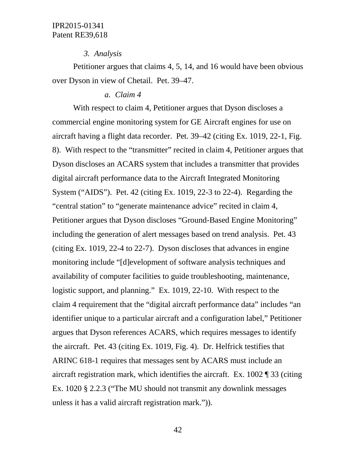#### *3. Analysis*

Petitioner argues that claims 4, 5, 14, and 16 would have been obvious over Dyson in view of Chetail. Pet. 39–47.

#### *a. Claim 4*

With respect to claim 4, Petitioner argues that Dyson discloses a commercial engine monitoring system for GE Aircraft engines for use on aircraft having a flight data recorder. Pet. 39–42 (citing Ex. 1019, 22-1, Fig. 8). With respect to the "transmitter" recited in claim 4, Petitioner argues that Dyson discloses an ACARS system that includes a transmitter that provides digital aircraft performance data to the Aircraft Integrated Monitoring System ("AIDS"). Pet. 42 (citing Ex. 1019, 22-3 to 22-4). Regarding the "central station" to "generate maintenance advice" recited in claim 4, Petitioner argues that Dyson discloses "Ground-Based Engine Monitoring" including the generation of alert messages based on trend analysis. Pet. 43 (citing Ex. 1019, 22-4 to 22-7). Dyson discloses that advances in engine monitoring include "[d]evelopment of software analysis techniques and availability of computer facilities to guide troubleshooting, maintenance, logistic support, and planning." Ex. 1019, 22-10. With respect to the claim 4 requirement that the "digital aircraft performance data" includes "an identifier unique to a particular aircraft and a configuration label," Petitioner argues that Dyson references ACARS, which requires messages to identify the aircraft. Pet. 43 (citing Ex. 1019, Fig. 4). Dr. Helfrick testifies that ARINC 618-1 requires that messages sent by ACARS must include an aircraft registration mark, which identifies the aircraft. Ex. 1002 ¶ 33 (citing Ex. 1020 § 2.2.3 ("The MU should not transmit any downlink messages unless it has a valid aircraft registration mark.")).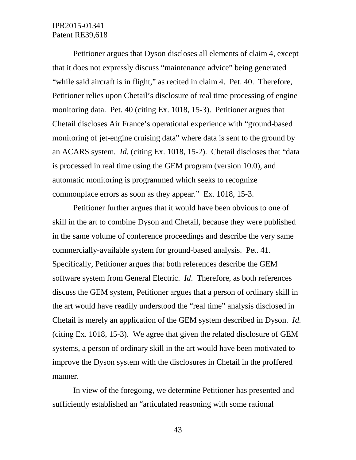Petitioner argues that Dyson discloses all elements of claim 4, except that it does not expressly discuss "maintenance advice" being generated "while said aircraft is in flight," as recited in claim 4. Pet. 40. Therefore, Petitioner relies upon Chetail's disclosure of real time processing of engine monitoring data. Pet. 40 (citing Ex. 1018, 15-3). Petitioner argues that Chetail discloses Air France's operational experience with "ground-based monitoring of jet-engine cruising data" where data is sent to the ground by an ACARS system. *Id.* (citing Ex. 1018, 15-2). Chetail discloses that "data is processed in real time using the GEM program (version 10.0), and automatic monitoring is programmed which seeks to recognize commonplace errors as soon as they appear." Ex. 1018, 15-3.

Petitioner further argues that it would have been obvious to one of skill in the art to combine Dyson and Chetail, because they were published in the same volume of conference proceedings and describe the very same commercially-available system for ground-based analysis. Pet. 41. Specifically, Petitioner argues that both references describe the GEM software system from General Electric. *Id*. Therefore, as both references discuss the GEM system, Petitioner argues that a person of ordinary skill in the art would have readily understood the "real time" analysis disclosed in Chetail is merely an application of the GEM system described in Dyson. *Id.* (citing Ex. 1018, 15-3). We agree that given the related disclosure of GEM systems, a person of ordinary skill in the art would have been motivated to improve the Dyson system with the disclosures in Chetail in the proffered manner.

In view of the foregoing, we determine Petitioner has presented and sufficiently established an "articulated reasoning with some rational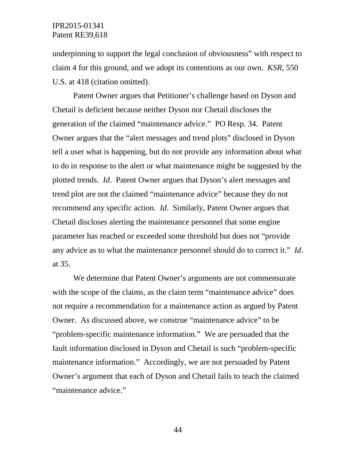underpinning to support the legal conclusion of obviousness" with respect to claim 4 for this ground, and we adopt its contentions as our own. *KSR*, 550 U.S. at 418 (citation omitted).

Patent Owner argues that Petitioner's challenge based on Dyson and Chetail is deficient because neither Dyson nor Chetail discloses the generation of the claimed "maintenance advice." PO Resp. 34. Patent Owner argues that the "alert messages and trend plots" disclosed in Dyson tell a user what is happening, but do not provide any information about what to do in response to the alert or what maintenance might be suggested by the plotted trends. *Id*. Patent Owner argues that Dyson's alert messages and trend plot are not the claimed "maintenance advice" because they do not recommend any specific action. *Id*. Similarly, Patent Owner argues that Chetail discloses alerting the maintenance personnel that some engine parameter has reached or exceeded some threshold but does not "provide any advice as to what the maintenance personnel should do to correct it." *Id*. at 35.

We determine that Patent Owner's arguments are not commensurate with the scope of the claims, as the claim term "maintenance advice" does not require a recommendation for a maintenance action as argued by Patent Owner. As discussed above, we construe "maintenance advice" to be "problem-specific maintenance information." We are persuaded that the fault information disclosed in Dyson and Chetail is such "problem-specific maintenance information." Accordingly, we are not persuaded by Patent Owner's argument that each of Dyson and Chetail fails to teach the claimed "maintenance advice."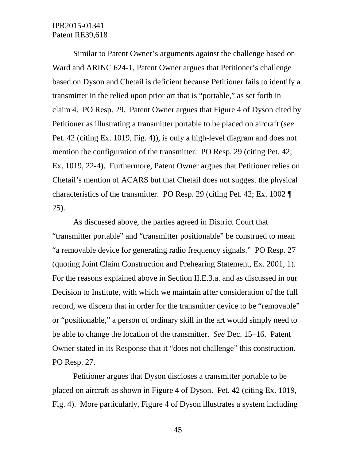Similar to Patent Owner's arguments against the challenge based on Ward and ARINC 624-1, Patent Owner argues that Petitioner's challenge based on Dyson and Chetail is deficient because Petitioner fails to identify a transmitter in the relied upon prior art that is "portable," as set forth in claim 4. PO Resp. 29. Patent Owner argues that Figure 4 of Dyson cited by Petitioner as illustrating a transmitter portable to be placed on aircraft (*see* Pet. 42 (citing Ex. 1019, Fig. 4)), is only a high-level diagram and does not mention the configuration of the transmitter. PO Resp. 29 (citing Pet. 42; Ex. 1019, 22-4). Furthermore, Patent Owner argues that Petitioner relies on Chetail's mention of ACARS but that Chetail does not suggest the physical characteristics of the transmitter. PO Resp. 29 (citing Pet. 42; Ex. 1002 ¶ 25).

As discussed above, the parties agreed in District Court that "transmitter portable" and "transmitter positionable" be construed to mean "a removable device for generating radio frequency signals." PO Resp. 27 (quoting Joint Claim Construction and Prehearing Statement, Ex. 2001, 1). For the reasons explained above in Section II.E.3.a. and as discussed in our Decision to Institute, with which we maintain after consideration of the full record, we discern that in order for the transmitter device to be "removable" or "positionable," a person of ordinary skill in the art would simply need to be able to change the location of the transmitter. *See* Dec. 15–16. Patent Owner stated in its Response that it "does not challenge" this construction. PO Resp. 27.

Petitioner argues that Dyson discloses a transmitter portable to be placed on aircraft as shown in Figure 4 of Dyson. Pet. 42 (citing Ex. 1019, Fig. 4). More particularly, Figure 4 of Dyson illustrates a system including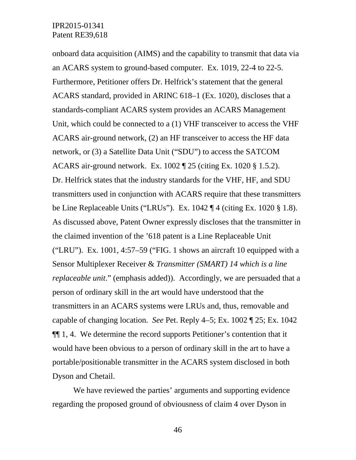onboard data acquisition (AIMS) and the capability to transmit that data via an ACARS system to ground-based computer. Ex. 1019, 22-4 to 22-5. Furthermore, Petitioner offers Dr. Helfrick's statement that the general ACARS standard, provided in ARINC 618–1 (Ex. 1020), discloses that a standards-compliant ACARS system provides an ACARS Management Unit, which could be connected to a (1) VHF transceiver to access the VHF ACARS air-ground network, (2) an HF transceiver to access the HF data network, or (3) a Satellite Data Unit ("SDU") to access the SATCOM ACARS air-ground network. Ex. 1002 ¶ 25 (citing Ex. 1020 § 1.5.2). Dr. Helfrick states that the industry standards for the VHF, HF, and SDU transmitters used in conjunction with ACARS require that these transmitters be Line Replaceable Units ("LRUs"). Ex. 1042 ¶ 4 (citing Ex. 1020 § 1.8). As discussed above, Patent Owner expressly discloses that the transmitter in the claimed invention of the '618 patent is a Line Replaceable Unit ("LRU"). Ex.  $1001$ ,  $4:57-59$  ("FIG. 1 shows an aircraft 10 equipped with a Sensor Multiplexer Receiver & *Transmitter (SMART) 14 which is a line replaceable unit.*" (emphasis added)). Accordingly, we are persuaded that a person of ordinary skill in the art would have understood that the transmitters in an ACARS systems were LRUs and, thus, removable and capable of changing location. *See* Pet. Reply 4–5; Ex. 1002 ¶ 25; Ex. 1042 ¶¶ 1, 4. We determine the record supports Petitioner's contention that it would have been obvious to a person of ordinary skill in the art to have a portable/positionable transmitter in the ACARS system disclosed in both Dyson and Chetail.

We have reviewed the parties' arguments and supporting evidence regarding the proposed ground of obviousness of claim 4 over Dyson in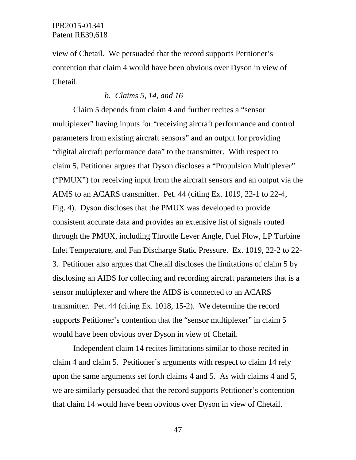view of Chetail. We persuaded that the record supports Petitioner's contention that claim 4 would have been obvious over Dyson in view of Chetail.

#### *b. Claims 5, 14, and 16*

Claim 5 depends from claim 4 and further recites a "sensor multiplexer" having inputs for "receiving aircraft performance and control parameters from existing aircraft sensors" and an output for providing "digital aircraft performance data" to the transmitter. With respect to claim 5, Petitioner argues that Dyson discloses a "Propulsion Multiplexer" ("PMUX") for receiving input from the aircraft sensors and an output via the AIMS to an ACARS transmitter. Pet. 44 (citing Ex. 1019, 22-1 to 22-4, Fig. 4). Dyson discloses that the PMUX was developed to provide consistent accurate data and provides an extensive list of signals routed through the PMUX, including Throttle Lever Angle, Fuel Flow, LP Turbine Inlet Temperature, and Fan Discharge Static Pressure. Ex. 1019, 22-2 to 22- 3. Petitioner also argues that Chetail discloses the limitations of claim 5 by disclosing an AIDS for collecting and recording aircraft parameters that is a sensor multiplexer and where the AIDS is connected to an ACARS transmitter. Pet. 44 (citing Ex. 1018, 15-2). We determine the record supports Petitioner's contention that the "sensor multiplexer" in claim 5 would have been obvious over Dyson in view of Chetail.

Independent claim 14 recites limitations similar to those recited in claim 4 and claim 5. Petitioner's arguments with respect to claim 14 rely upon the same arguments set forth claims 4 and 5. As with claims 4 and 5, we are similarly persuaded that the record supports Petitioner's contention that claim 14 would have been obvious over Dyson in view of Chetail.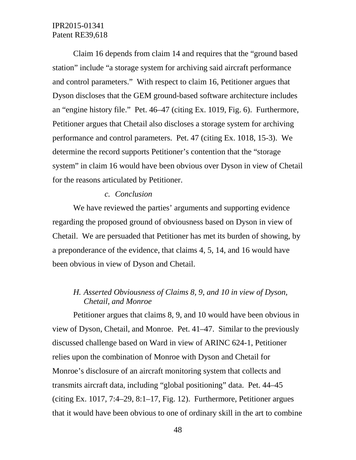Claim 16 depends from claim 14 and requires that the "ground based station" include "a storage system for archiving said aircraft performance and control parameters." With respect to claim 16, Petitioner argues that Dyson discloses that the GEM ground-based software architecture includes an "engine history file." Pet. 46–47 (citing Ex. 1019, Fig. 6). Furthermore, Petitioner argues that Chetail also discloses a storage system for archiving performance and control parameters. Pet. 47 (citing Ex. 1018, 15-3). We determine the record supports Petitioner's contention that the "storage system" in claim 16 would have been obvious over Dyson in view of Chetail for the reasons articulated by Petitioner.

#### *c. Conclusion*

We have reviewed the parties' arguments and supporting evidence regarding the proposed ground of obviousness based on Dyson in view of Chetail. We are persuaded that Petitioner has met its burden of showing, by a preponderance of the evidence, that claims 4, 5, 14, and 16 would have been obvious in view of Dyson and Chetail.

## *H. Asserted Obviousness of Claims 8, 9, and 10 in view of Dyson, Chetail, and Monroe*

Petitioner argues that claims 8, 9, and 10 would have been obvious in view of Dyson, Chetail, and Monroe. Pet. 41–47. Similar to the previously discussed challenge based on Ward in view of ARINC 624-1, Petitioner relies upon the combination of Monroe with Dyson and Chetail for Monroe's disclosure of an aircraft monitoring system that collects and transmits aircraft data, including "global positioning" data. Pet. 44–45 (citing Ex. 1017, 7:4–29, 8:1–17, Fig. 12). Furthermore, Petitioner argues that it would have been obvious to one of ordinary skill in the art to combine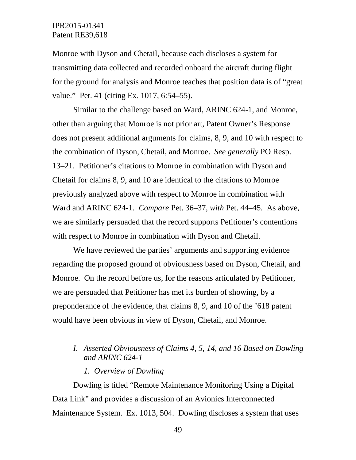Monroe with Dyson and Chetail, because each discloses a system for transmitting data collected and recorded onboard the aircraft during flight for the ground for analysis and Monroe teaches that position data is of "great value." Pet. 41 (citing Ex. 1017, 6:54–55).

Similar to the challenge based on Ward, ARINC 624-1, and Monroe, other than arguing that Monroe is not prior art, Patent Owner's Response does not present additional arguments for claims, 8, 9, and 10 with respect to the combination of Dyson, Chetail, and Monroe. *See generally* PO Resp. 13–21. Petitioner's citations to Monroe in combination with Dyson and Chetail for claims 8, 9, and 10 are identical to the citations to Monroe previously analyzed above with respect to Monroe in combination with Ward and ARINC 624-1. *Compare* Pet. 36–37, *with* Pet. 44–45. As above, we are similarly persuaded that the record supports Petitioner's contentions with respect to Monroe in combination with Dyson and Chetail.

We have reviewed the parties' arguments and supporting evidence regarding the proposed ground of obviousness based on Dyson, Chetail, and Monroe. On the record before us, for the reasons articulated by Petitioner, we are persuaded that Petitioner has met its burden of showing, by a preponderance of the evidence, that claims 8, 9, and 10 of the '618 patent would have been obvious in view of Dyson, Chetail, and Monroe.

## *I. Asserted Obviousness of Claims 4, 5, 14, and 16 Based on Dowling and ARINC 624-1*

*1. Overview of Dowling*

Dowling is titled "Remote Maintenance Monitoring Using a Digital Data Link" and provides a discussion of an Avionics Interconnected Maintenance System. Ex. 1013, 504. Dowling discloses a system that uses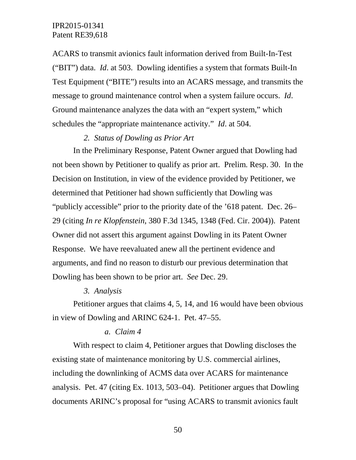ACARS to transmit avionics fault information derived from Built-In-Test ("BIT") data. *Id*. at 503. Dowling identifies a system that formats Built-In Test Equipment ("BITE") results into an ACARS message, and transmits the message to ground maintenance control when a system failure occurs. *Id*. Ground maintenance analyzes the data with an "expert system," which schedules the "appropriate maintenance activity." *Id*. at 504.

#### *2. Status of Dowling as Prior Art*

In the Preliminary Response, Patent Owner argued that Dowling had not been shown by Petitioner to qualify as prior art. Prelim. Resp. 30. In the Decision on Institution, in view of the evidence provided by Petitioner, we determined that Petitioner had shown sufficiently that Dowling was "publicly accessible" prior to the priority date of the '618 patent. Dec. 26– 29 (citing *In re Klopfenstein*, 380 F.3d 1345, 1348 (Fed. Cir. 2004)). Patent Owner did not assert this argument against Dowling in its Patent Owner Response. We have reevaluated anew all the pertinent evidence and arguments, and find no reason to disturb our previous determination that Dowling has been shown to be prior art. *See* Dec. 29.

#### *3. Analysis*

Petitioner argues that claims 4, 5, 14, and 16 would have been obvious in view of Dowling and ARINC 624-1. Pet. 47–55.

#### *a. Claim 4*

With respect to claim 4, Petitioner argues that Dowling discloses the existing state of maintenance monitoring by U.S. commercial airlines, including the downlinking of ACMS data over ACARS for maintenance analysis. Pet. 47 (citing Ex. 1013, 503–04). Petitioner argues that Dowling documents ARINC's proposal for "using ACARS to transmit avionics fault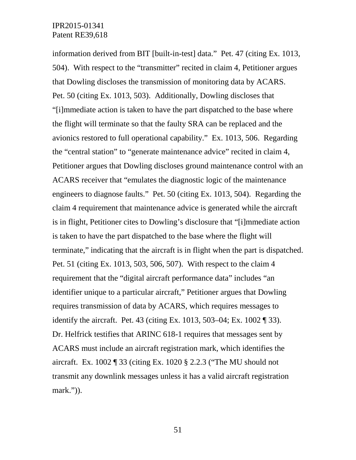information derived from BIT [built-in-test] data." Pet. 47 (citing Ex. 1013, 504). With respect to the "transmitter" recited in claim 4, Petitioner argues that Dowling discloses the transmission of monitoring data by ACARS. Pet. 50 (citing Ex. 1013, 503). Additionally, Dowling discloses that "[i]mmediate action is taken to have the part dispatched to the base where the flight will terminate so that the faulty SRA can be replaced and the avionics restored to full operational capability." Ex. 1013, 506. Regarding the "central station" to "generate maintenance advice" recited in claim 4, Petitioner argues that Dowling discloses ground maintenance control with an ACARS receiver that "emulates the diagnostic logic of the maintenance engineers to diagnose faults." Pet. 50 (citing Ex. 1013, 504). Regarding the claim 4 requirement that maintenance advice is generated while the aircraft is in flight, Petitioner cites to Dowling's disclosure that "[i]mmediate action is taken to have the part dispatched to the base where the flight will terminate," indicating that the aircraft is in flight when the part is dispatched. Pet. 51 (citing Ex. 1013, 503, 506, 507). With respect to the claim 4 requirement that the "digital aircraft performance data" includes "an identifier unique to a particular aircraft," Petitioner argues that Dowling requires transmission of data by ACARS, which requires messages to identify the aircraft. Pet. 43 (citing Ex. 1013, 503–04; Ex. 1002 ¶ 33). Dr. Helfrick testifies that ARINC 618-1 requires that messages sent by ACARS must include an aircraft registration mark, which identifies the aircraft. Ex. 1002 ¶ 33 (citing Ex. 1020 § 2.2.3 ("The MU should not transmit any downlink messages unless it has a valid aircraft registration mark.")).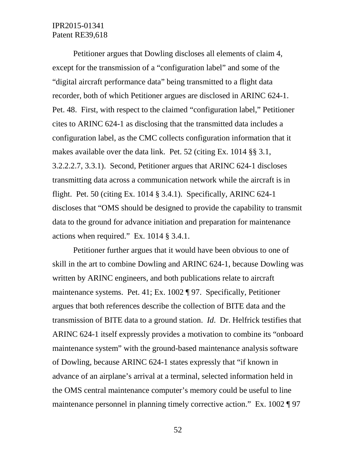Petitioner argues that Dowling discloses all elements of claim 4, except for the transmission of a "configuration label" and some of the "digital aircraft performance data" being transmitted to a flight data recorder, both of which Petitioner argues are disclosed in ARINC 624-1. Pet. 48. First, with respect to the claimed "configuration label," Petitioner cites to ARINC 624-1 as disclosing that the transmitted data includes a configuration label, as the CMC collects configuration information that it makes available over the data link. Pet. 52 (citing Ex. 1014 §§ 3.1, 3.2.2.2.7, 3.3.1). Second, Petitioner argues that ARINC 624-1 discloses transmitting data across a communication network while the aircraft is in flight. Pet. 50 (citing Ex. 1014  $\S$  3.4.1). Specifically, ARINC 624-1 discloses that "OMS should be designed to provide the capability to transmit data to the ground for advance initiation and preparation for maintenance actions when required." Ex. 1014 § 3.4.1.

Petitioner further argues that it would have been obvious to one of skill in the art to combine Dowling and ARINC 624-1, because Dowling was written by ARINC engineers, and both publications relate to aircraft maintenance systems. Pet. 41; Ex. 1002 ¶ 97. Specifically, Petitioner argues that both references describe the collection of BITE data and the transmission of BITE data to a ground station. *Id*. Dr. Helfrick testifies that ARINC 624-1 itself expressly provides a motivation to combine its "onboard maintenance system" with the ground-based maintenance analysis software of Dowling, because ARINC 624-1 states expressly that "if known in advance of an airplane's arrival at a terminal, selected information held in the OMS central maintenance computer's memory could be useful to line maintenance personnel in planning timely corrective action." Ex. 1002 ¶ 97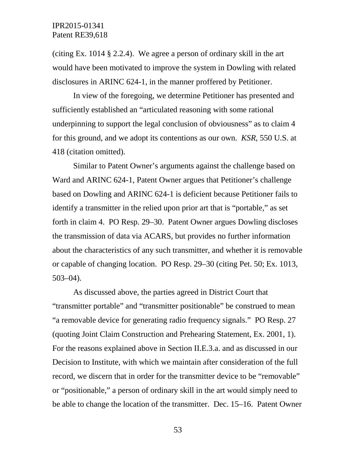(citing Ex. 1014 § 2.2.4). We agree a person of ordinary skill in the art would have been motivated to improve the system in Dowling with related disclosures in ARINC 624-1, in the manner proffered by Petitioner.

In view of the foregoing, we determine Petitioner has presented and sufficiently established an "articulated reasoning with some rational underpinning to support the legal conclusion of obviousness" as to claim 4 for this ground, and we adopt its contentions as our own. *KSR*, 550 U.S. at 418 (citation omitted).

Similar to Patent Owner's arguments against the challenge based on Ward and ARINC 624-1, Patent Owner argues that Petitioner's challenge based on Dowling and ARINC 624-1 is deficient because Petitioner fails to identify a transmitter in the relied upon prior art that is "portable," as set forth in claim 4. PO Resp. 29–30. Patent Owner argues Dowling discloses the transmission of data via ACARS, but provides no further information about the characteristics of any such transmitter, and whether it is removable or capable of changing location. PO Resp. 29–30 (citing Pet. 50; Ex. 1013, 503–04).

As discussed above, the parties agreed in District Court that "transmitter portable" and "transmitter positionable" be construed to mean "a removable device for generating radio frequency signals." PO Resp. 27 (quoting Joint Claim Construction and Prehearing Statement, Ex. 2001, 1). For the reasons explained above in Section II.E.3.a. and as discussed in our Decision to Institute, with which we maintain after consideration of the full record, we discern that in order for the transmitter device to be "removable" or "positionable," a person of ordinary skill in the art would simply need to be able to change the location of the transmitter. Dec. 15–16. Patent Owner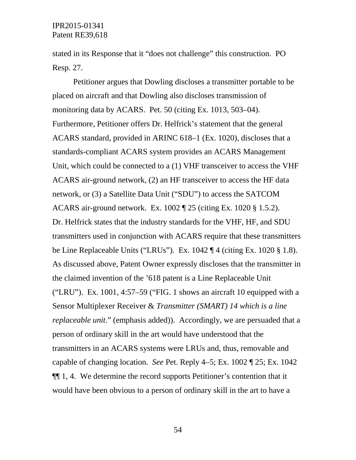stated in its Response that it "does not challenge" this construction. PO Resp. 27.

Petitioner argues that Dowling discloses a transmitter portable to be placed on aircraft and that Dowling also discloses transmission of monitoring data by ACARS. Pet. 50 (citing Ex. 1013, 503–04). Furthermore, Petitioner offers Dr. Helfrick's statement that the general ACARS standard, provided in ARINC 618–1 (Ex. 1020), discloses that a standards-compliant ACARS system provides an ACARS Management Unit, which could be connected to a (1) VHF transceiver to access the VHF ACARS air-ground network, (2) an HF transceiver to access the HF data network, or (3) a Satellite Data Unit ("SDU") to access the SATCOM ACARS air-ground network. Ex. 1002 ¶ 25 (citing Ex. 1020 § 1.5.2). Dr. Helfrick states that the industry standards for the VHF, HF, and SDU transmitters used in conjunction with ACARS require that these transmitters be Line Replaceable Units ("LRUs"). Ex. 1042 ¶ 4 (citing Ex. 1020 § 1.8). As discussed above, Patent Owner expressly discloses that the transmitter in the claimed invention of the '618 patent is a Line Replaceable Unit ("LRU"). Ex.  $1001$ ,  $4:57-59$  ("FIG. 1 shows an aircraft 10 equipped with a Sensor Multiplexer Receiver & *Transmitter (SMART) 14 which is a line replaceable unit.*" (emphasis added)). Accordingly, we are persuaded that a person of ordinary skill in the art would have understood that the transmitters in an ACARS systems were LRUs and, thus, removable and capable of changing location. *See* Pet. Reply 4–5; Ex. 1002 ¶ 25; Ex. 1042 ¶¶ 1, 4. We determine the record supports Petitioner's contention that it would have been obvious to a person of ordinary skill in the art to have a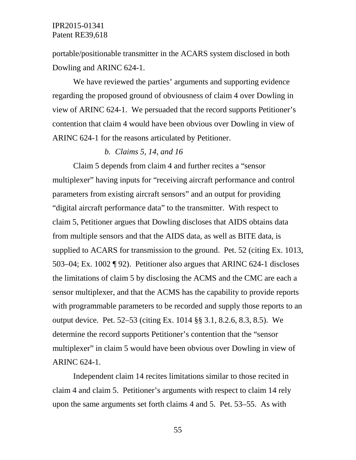portable/positionable transmitter in the ACARS system disclosed in both Dowling and ARINC 624-1.

We have reviewed the parties' arguments and supporting evidence regarding the proposed ground of obviousness of claim 4 over Dowling in view of ARINC 624-1. We persuaded that the record supports Petitioner's contention that claim 4 would have been obvious over Dowling in view of ARINC 624-1 for the reasons articulated by Petitioner.

#### *b. Claims 5, 14, and 16*

Claim 5 depends from claim 4 and further recites a "sensor multiplexer" having inputs for "receiving aircraft performance and control parameters from existing aircraft sensors" and an output for providing "digital aircraft performance data" to the transmitter. With respect to claim 5, Petitioner argues that Dowling discloses that AIDS obtains data from multiple sensors and that the AIDS data, as well as BITE data, is supplied to ACARS for transmission to the ground. Pet. 52 (citing Ex. 1013, 503–04; Ex. 1002 ¶ 92). Petitioner also argues that ARINC 624-1 discloses the limitations of claim 5 by disclosing the ACMS and the CMC are each a sensor multiplexer, and that the ACMS has the capability to provide reports with programmable parameters to be recorded and supply those reports to an output device. Pet. 52–53 (citing Ex. 1014 §§ 3.1, 8.2.6, 8.3, 8.5). We determine the record supports Petitioner's contention that the "sensor multiplexer" in claim 5 would have been obvious over Dowling in view of ARINC 624-1.

Independent claim 14 recites limitations similar to those recited in claim 4 and claim 5. Petitioner's arguments with respect to claim 14 rely upon the same arguments set forth claims 4 and 5. Pet. 53–55. As with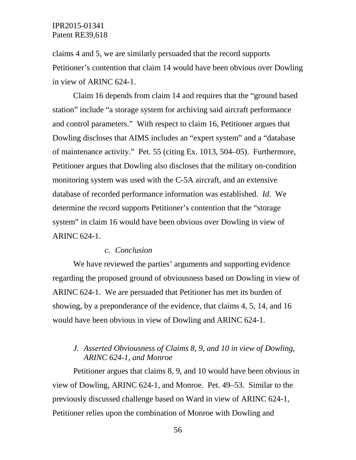claims 4 and 5, we are similarly persuaded that the record supports Petitioner's contention that claim 14 would have been obvious over Dowling in view of ARINC 624-1.

Claim 16 depends from claim 14 and requires that the "ground based station" include "a storage system for archiving said aircraft performance and control parameters." With respect to claim 16, Petitioner argues that Dowling discloses that AIMS includes an "expert system" and a "database of maintenance activity." Pet. 55 (citing Ex. 1013, 504–05). Furthermore, Petitioner argues that Dowling also discloses that the military on-condition monitoring system was used with the C-5A aircraft, and an extensive database of recorded performance information was established. *Id*. We determine the record supports Petitioner's contention that the "storage system" in claim 16 would have been obvious over Dowling in view of ARINC 624-1.

#### *c. Conclusion*

We have reviewed the parties' arguments and supporting evidence regarding the proposed ground of obviousness based on Dowling in view of ARINC 624-1. We are persuaded that Petitioner has met its burden of showing, by a preponderance of the evidence, that claims 4, 5, 14, and 16 would have been obvious in view of Dowling and ARINC 624-1.

## *J. Asserted Obviousness of Claims 8, 9, and 10 in view of Dowling, ARINC 624-1, and Monroe*

Petitioner argues that claims 8, 9, and 10 would have been obvious in view of Dowling, ARINC 624-1, and Monroe. Pet. 49–53. Similar to the previously discussed challenge based on Ward in view of ARINC 624-1, Petitioner relies upon the combination of Monroe with Dowling and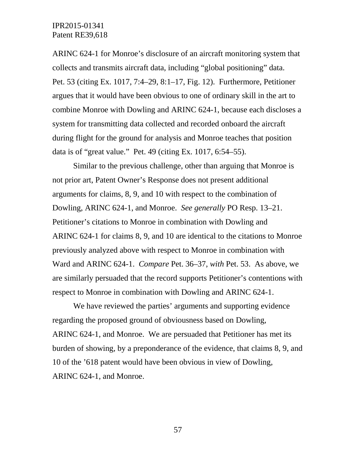ARINC 624-1 for Monroe's disclosure of an aircraft monitoring system that collects and transmits aircraft data, including "global positioning" data. Pet. 53 (citing Ex. 1017, 7:4–29, 8:1–17, Fig. 12). Furthermore, Petitioner argues that it would have been obvious to one of ordinary skill in the art to combine Monroe with Dowling and ARINC 624-1, because each discloses a system for transmitting data collected and recorded onboard the aircraft during flight for the ground for analysis and Monroe teaches that position data is of "great value." Pet. 49 (citing Ex. 1017, 6:54–55).

Similar to the previous challenge, other than arguing that Monroe is not prior art, Patent Owner's Response does not present additional arguments for claims, 8, 9, and 10 with respect to the combination of Dowling, ARINC 624-1, and Monroe. *See generally* PO Resp. 13–21. Petitioner's citations to Monroe in combination with Dowling and ARINC 624-1 for claims 8, 9, and 10 are identical to the citations to Monroe previously analyzed above with respect to Monroe in combination with Ward and ARINC 624-1. *Compare* Pet. 36–37, *with* Pet. 53. As above, we are similarly persuaded that the record supports Petitioner's contentions with respect to Monroe in combination with Dowling and ARINC 624-1.

We have reviewed the parties' arguments and supporting evidence regarding the proposed ground of obviousness based on Dowling, ARINC 624-1, and Monroe. We are persuaded that Petitioner has met its burden of showing, by a preponderance of the evidence, that claims 8, 9, and 10 of the '618 patent would have been obvious in view of Dowling, ARINC 624-1, and Monroe.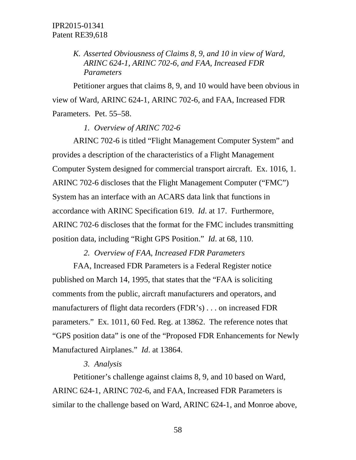*K. Asserted Obviousness of Claims 8, 9, and 10 in view of Ward, ARINC 624-1, ARINC 702-6, and FAA, Increased FDR Parameters*

Petitioner argues that claims 8, 9, and 10 would have been obvious in view of Ward, ARINC 624-1, ARINC 702-6, and FAA, Increased FDR Parameters. Pet. 55–58.

*1. Overview of ARINC 702-6*

ARINC 702-6 is titled "Flight Management Computer System" and provides a description of the characteristics of a Flight Management Computer System designed for commercial transport aircraft. Ex. 1016, 1. ARINC 702-6 discloses that the Flight Management Computer ("FMC") System has an interface with an ACARS data link that functions in accordance with ARINC Specification 619. *Id*. at 17. Furthermore, ARINC 702-6 discloses that the format for the FMC includes transmitting position data, including "Right GPS Position." *Id*. at 68, 110.

*2. Overview of FAA, Increased FDR Parameters*

FAA, Increased FDR Parameters is a Federal Register notice published on March 14, 1995, that states that the "FAA is soliciting comments from the public, aircraft manufacturers and operators, and manufacturers of flight data recorders (FDR's) . . . on increased FDR parameters." Ex. 1011, 60 Fed. Reg. at 13862. The reference notes that "GPS position data" is one of the "Proposed FDR Enhancements for Newly Manufactured Airplanes." *Id*. at 13864.

#### *3. Analysis*

Petitioner's challenge against claims 8, 9, and 10 based on Ward, ARINC 624-1, ARINC 702-6, and FAA, Increased FDR Parameters is similar to the challenge based on Ward, ARINC 624-1, and Monroe above,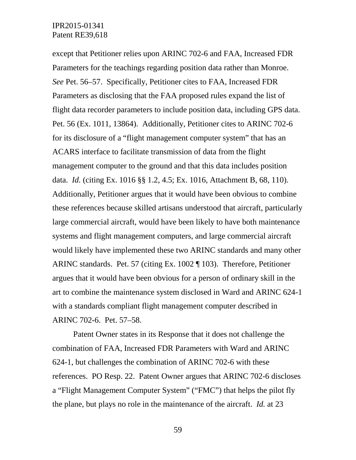except that Petitioner relies upon ARINC 702-6 and FAA, Increased FDR Parameters for the teachings regarding position data rather than Monroe. *See* Pet. 56–57. Specifically, Petitioner cites to FAA, Increased FDR Parameters as disclosing that the FAA proposed rules expand the list of flight data recorder parameters to include position data, including GPS data. Pet. 56 (Ex. 1011, 13864). Additionally, Petitioner cites to ARINC 702-6 for its disclosure of a "flight management computer system" that has an ACARS interface to facilitate transmission of data from the flight management computer to the ground and that this data includes position data. *Id.* (citing Ex. 1016 §§ 1.2, 4.5; Ex. 1016, Attachment B, 68, 110). Additionally, Petitioner argues that it would have been obvious to combine these references because skilled artisans understood that aircraft, particularly large commercial aircraft, would have been likely to have both maintenance systems and flight management computers, and large commercial aircraft would likely have implemented these two ARINC standards and many other ARINC standards. Pet. 57 (citing Ex. 1002 ¶ 103). Therefore, Petitioner argues that it would have been obvious for a person of ordinary skill in the art to combine the maintenance system disclosed in Ward and ARINC 624-1 with a standards compliant flight management computer described in ARINC 702-6. Pet. 57–58.

Patent Owner states in its Response that it does not challenge the combination of FAA, Increased FDR Parameters with Ward and ARINC 624-1, but challenges the combination of ARINC 702-6 with these references. PO Resp. 22. Patent Owner argues that ARINC 702-6 discloses a "Flight Management Computer System" ("FMC") that helps the pilot fly the plane, but plays no role in the maintenance of the aircraft. *Id.* at 23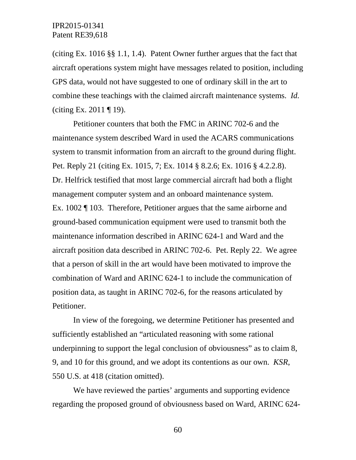(citing Ex. 1016 §§ 1.1, 1.4). Patent Owner further argues that the fact that aircraft operations system might have messages related to position, including GPS data, would not have suggested to one of ordinary skill in the art to combine these teachings with the claimed aircraft maintenance systems. *Id.* (citing Ex. 2011  $\P$  19).

Petitioner counters that both the FMC in ARINC 702-6 and the maintenance system described Ward in used the ACARS communications system to transmit information from an aircraft to the ground during flight. Pet. Reply 21 (citing Ex. 1015, 7; Ex. 1014 § 8.2.6; Ex. 1016 § 4.2.2.8). Dr. Helfrick testified that most large commercial aircraft had both a flight management computer system and an onboard maintenance system. Ex. 1002 ¶ 103. Therefore, Petitioner argues that the same airborne and ground-based communication equipment were used to transmit both the maintenance information described in ARINC 624-1 and Ward and the aircraft position data described in ARINC 702-6. Pet. Reply 22. We agree that a person of skill in the art would have been motivated to improve the combination of Ward and ARINC 624-1 to include the communication of position data, as taught in ARINC 702-6, for the reasons articulated by Petitioner.

In view of the foregoing, we determine Petitioner has presented and sufficiently established an "articulated reasoning with some rational underpinning to support the legal conclusion of obviousness" as to claim 8, 9, and 10 for this ground, and we adopt its contentions as our own. *KSR*, 550 U.S. at 418 (citation omitted).

We have reviewed the parties' arguments and supporting evidence regarding the proposed ground of obviousness based on Ward, ARINC 624-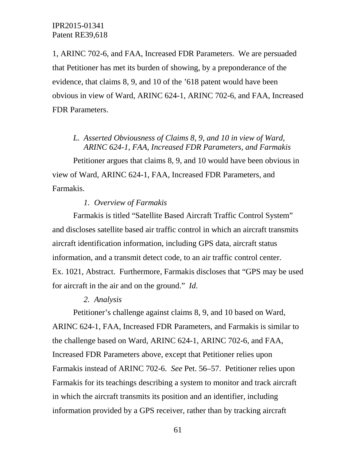1, ARINC 702-6, and FAA, Increased FDR Parameters. We are persuaded that Petitioner has met its burden of showing, by a preponderance of the evidence, that claims 8, 9, and 10 of the '618 patent would have been obvious in view of Ward, ARINC 624-1, ARINC 702-6, and FAA, Increased FDR Parameters.

## *L. Asserted Obviousness of Claims 8, 9, and 10 in view of Ward, ARINC 624-1, FAA, Increased FDR Parameters, and Farmakis*

Petitioner argues that claims 8, 9, and 10 would have been obvious in view of Ward, ARINC 624-1, FAA, Increased FDR Parameters, and Farmakis.

## *1. Overview of Farmakis*

Farmakis is titled "Satellite Based Aircraft Traffic Control System" and discloses satellite based air traffic control in which an aircraft transmits aircraft identification information, including GPS data, aircraft status information, and a transmit detect code, to an air traffic control center. Ex. 1021, Abstract. Furthermore, Farmakis discloses that "GPS may be used for aircraft in the air and on the ground." *Id*.

## *2. Analysis*

Petitioner's challenge against claims 8, 9, and 10 based on Ward, ARINC 624-1, FAA, Increased FDR Parameters, and Farmakis is similar to the challenge based on Ward, ARINC 624-1, ARINC 702-6, and FAA, Increased FDR Parameters above, except that Petitioner relies upon Farmakis instead of ARINC 702-6. *See* Pet. 56–57. Petitioner relies upon Farmakis for its teachings describing a system to monitor and track aircraft in which the aircraft transmits its position and an identifier, including information provided by a GPS receiver, rather than by tracking aircraft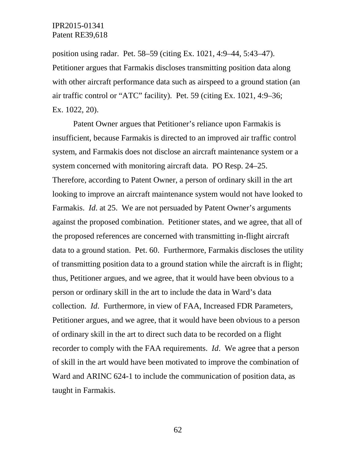position using radar. Pet. 58–59 (citing Ex. 1021, 4:9–44, 5:43–47). Petitioner argues that Farmakis discloses transmitting position data along with other aircraft performance data such as airspeed to a ground station (an air traffic control or "ATC" facility). Pet. 59 (citing Ex. 1021, 4:9–36; Ex. 1022, 20).

Patent Owner argues that Petitioner's reliance upon Farmakis is insufficient, because Farmakis is directed to an improved air traffic control system, and Farmakis does not disclose an aircraft maintenance system or a system concerned with monitoring aircraft data. PO Resp. 24–25. Therefore, according to Patent Owner, a person of ordinary skill in the art looking to improve an aircraft maintenance system would not have looked to Farmakis. *Id*. at 25. We are not persuaded by Patent Owner's arguments against the proposed combination. Petitioner states, and we agree, that all of the proposed references are concerned with transmitting in-flight aircraft data to a ground station. Pet. 60. Furthermore, Farmakis discloses the utility of transmitting position data to a ground station while the aircraft is in flight; thus, Petitioner argues, and we agree, that it would have been obvious to a person or ordinary skill in the art to include the data in Ward's data collection. *Id*. Furthermore, in view of FAA, Increased FDR Parameters, Petitioner argues, and we agree, that it would have been obvious to a person of ordinary skill in the art to direct such data to be recorded on a flight recorder to comply with the FAA requirements. *Id*. We agree that a person of skill in the art would have been motivated to improve the combination of Ward and ARINC 624-1 to include the communication of position data, as taught in Farmakis.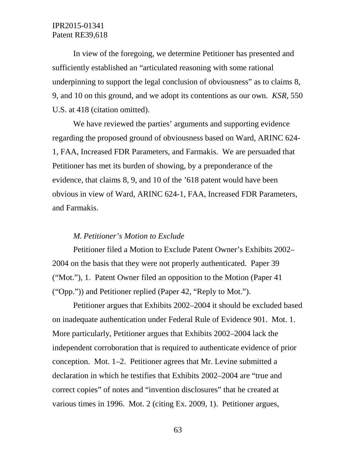In view of the foregoing, we determine Petitioner has presented and sufficiently established an "articulated reasoning with some rational underpinning to support the legal conclusion of obviousness" as to claims 8, 9, and 10 on this ground, and we adopt its contentions as our own. *KSR*, 550 U.S. at 418 (citation omitted).

We have reviewed the parties' arguments and supporting evidence regarding the proposed ground of obviousness based on Ward, ARINC 624- 1, FAA, Increased FDR Parameters, and Farmakis. We are persuaded that Petitioner has met its burden of showing, by a preponderance of the evidence, that claims 8, 9, and 10 of the '618 patent would have been obvious in view of Ward, ARINC 624-1, FAA, Increased FDR Parameters, and Farmakis.

### *M. Petitioner's Motion to Exclude*

Petitioner filed a Motion to Exclude Patent Owner's Exhibits 2002– 2004 on the basis that they were not properly authenticated. Paper 39 ("Mot."), 1. Patent Owner filed an opposition to the Motion (Paper 41 ("Opp.")) and Petitioner replied (Paper 42, "Reply to Mot.").

Petitioner argues that Exhibits 2002–2004 it should be excluded based on inadequate authentication under Federal Rule of Evidence 901. Mot. 1. More particularly, Petitioner argues that Exhibits 2002–2004 lack the independent corroboration that is required to authenticate evidence of prior conception. Mot. 1–2. Petitioner agrees that Mr. Levine submitted a declaration in which he testifies that Exhibits 2002–2004 are "true and correct copies" of notes and "invention disclosures" that he created at various times in 1996. Mot. 2 (citing Ex. 2009, 1). Petitioner argues,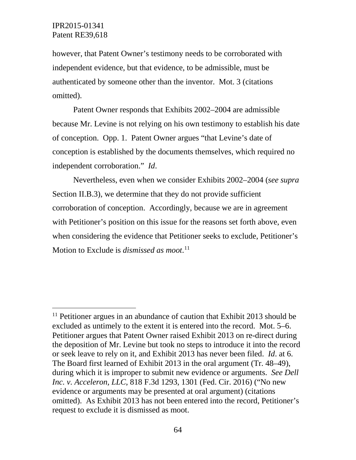however, that Patent Owner's testimony needs to be corroborated with independent evidence, but that evidence, to be admissible, must be authenticated by someone other than the inventor. Mot. 3 (citations omitted).

Patent Owner responds that Exhibits 2002–2004 are admissible because Mr. Levine is not relying on his own testimony to establish his date of conception. Opp. 1. Patent Owner argues "that Levine's date of conception is established by the documents themselves, which required no independent corroboration." *Id*.

Nevertheless, even when we consider Exhibits 2002–2004 (*see supra* Section II.B.3), we determine that they do not provide sufficient corroboration of conception. Accordingly, because we are in agreement with Petitioner's position on this issue for the reasons set forth above, even when considering the evidence that Petitioner seeks to exclude, Petitioner's Motion to Exclude is *dismissed as moot*. [11](#page-63-0)

<span id="page-63-0"></span> $11$  Petitioner argues in an abundance of caution that Exhibit 2013 should be excluded as untimely to the extent it is entered into the record. Mot. 5–6. Petitioner argues that Patent Owner raised Exhibit 2013 on re-direct during the deposition of Mr. Levine but took no steps to introduce it into the record or seek leave to rely on it, and Exhibit 2013 has never been filed. *Id*. at 6. The Board first learned of Exhibit 2013 in the oral argument (Tr. 48–49), during which it is improper to submit new evidence or arguments. *See Dell Inc. v. Acceleron, LLC*, 818 F.3d 1293, 1301 (Fed. Cir. 2016) ("No new evidence or arguments may be presented at oral argument) (citations omitted). As Exhibit 2013 has not been entered into the record, Petitioner's request to exclude it is dismissed as moot.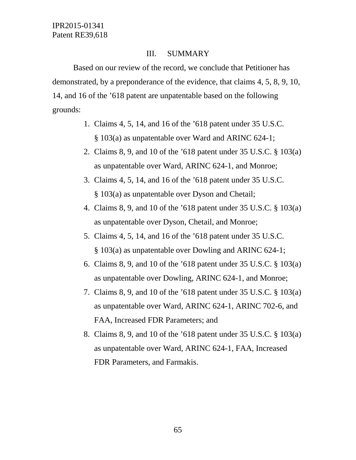## III. SUMMARY

Based on our review of the record, we conclude that Petitioner has demonstrated, by a preponderance of the evidence, that claims 4, 5, 8, 9, 10, 14, and 16 of the '618 patent are unpatentable based on the following grounds:

- 1. Claims 4, 5, 14, and 16 of the '618 patent under 35 U.S.C. § 103(a) as unpatentable over Ward and ARINC 624-1;
- 2. Claims 8, 9, and 10 of the '618 patent under 35 U.S.C. § 103(a) as unpatentable over Ward, ARINC 624-1, and Monroe;
- 3. Claims 4, 5, 14, and 16 of the '618 patent under 35 U.S.C. § 103(a) as unpatentable over Dyson and Chetail;
- 4. Claims 8, 9, and 10 of the '618 patent under 35 U.S.C. § 103(a) as unpatentable over Dyson, Chetail, and Monroe;
- 5. Claims 4, 5, 14, and 16 of the '618 patent under 35 U.S.C. § 103(a) as unpatentable over Dowling and ARINC 624-1;
- 6. Claims 8, 9, and 10 of the '618 patent under 35 U.S.C. § 103(a) as unpatentable over Dowling, ARINC 624-1, and Monroe;
- 7. Claims 8, 9, and 10 of the '618 patent under 35 U.S.C. § 103(a) as unpatentable over Ward, ARINC 624-1, ARINC 702-6, and FAA, Increased FDR Parameters; and
- 8. Claims 8, 9, and 10 of the '618 patent under 35 U.S.C. § 103(a) as unpatentable over Ward, ARINC 624-1, FAA, Increased FDR Parameters, and Farmakis.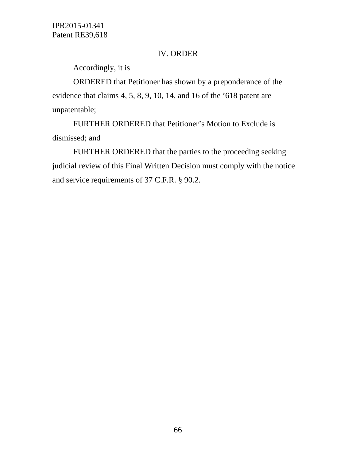## IV. ORDER

Accordingly, it is

ORDERED that Petitioner has shown by a preponderance of the evidence that claims 4, 5, 8, 9, 10, 14, and 16 of the '618 patent are unpatentable;

FURTHER ORDERED that Petitioner's Motion to Exclude is dismissed; and

FURTHER ORDERED that the parties to the proceeding seeking judicial review of this Final Written Decision must comply with the notice and service requirements of 37 C.F.R. § 90.2.